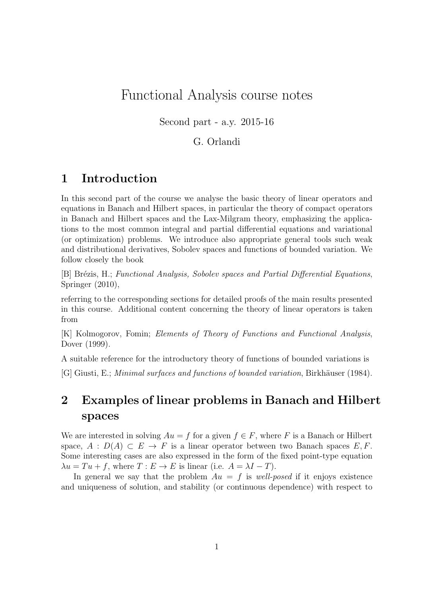# Functional Analysis course notes

Second part - a.y. 2015-16

### G. Orlandi

# 1 Introduction

In this second part of the course we analyse the basic theory of linear operators and equations in Banach and Hilbert spaces, in particular the theory of compact operators in Banach and Hilbert spaces and the Lax-Milgram theory, emphasizing the applications to the most common integral and partial differential equations and variational (or optimization) problems. We introduce also appropriate general tools such weak and distributional derivatives, Sobolev spaces and functions of bounded variation. We follow closely the book

[B] Brézis, H.; Functional Analysis, Sobolev spaces and Partial Differential Equations, Springer (2010),

referring to the corresponding sections for detailed proofs of the main results presented in this course. Additional content concerning the theory of linear operators is taken from

[K] Kolmogorov, Fomin; Elements of Theory of Functions and Functional Analysis, Dover (1999).

A suitable reference for the introductory theory of functions of bounded variations is

[G] Giusti, E.; Minimal surfaces and functions of bounded variation, Birkhäuser (1984).

# 2 Examples of linear problems in Banach and Hilbert spaces

We are interested in solving  $Au = f$  for a given  $f \in F$ , where F is a Banach or Hilbert space,  $A : D(A) \subset E \to F$  is a linear operator between two Banach spaces E, F. Some interesting cases are also expressed in the form of the fixed point-type equation  $\lambda u = Tu + f$ , where  $T : E \to E$  is linear (i.e.  $A = \lambda I - T$ ).

In general we say that the problem  $Au = f$  is well-posed if it enjoys existence and uniqueness of solution, and stability (or continuous dependence) with respect to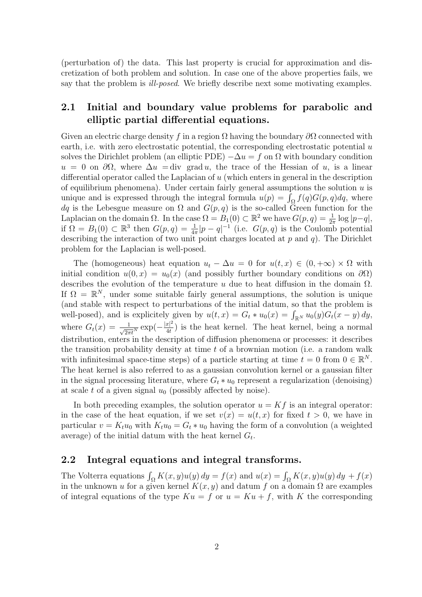(perturbation of) the data. This last property is crucial for approximation and discretization of both problem and solution. In case one of the above properties fails, we say that the problem is ill-posed. We briefly describe next some motivating examples.

### 2.1 Initial and boundary value problems for parabolic and elliptic partial differential equations.

Given an electric charge density f in a region  $\Omega$  having the boundary  $\partial\Omega$  connected with earth, i.e. with zero electrostatic potential, the corresponding electrostatic potential  $u$ solves the Dirichlet problem (an elliptic PDE)  $-\Delta u = f$  on  $\Omega$  with boundary condition  $u = 0$  on  $\partial\Omega$ , where  $\Delta u = \text{div}$  grad u, the trace of the Hessian of u, is a linear differential operator called the Laplacian of u (which enters in general in the description of equilibrium phenomena). Under certain fairly general assumptions the solution  $u$  is unique and is expressed through the integral formula  $u(p) = \int_{\Omega} f(q)G(p,q)dq$ , where dq is the Lebesgue measure on  $\Omega$  and  $G(p,q)$  is the so-called Green function for the Laplacian on the domain  $\Omega$ . In the case  $\Omega = B_1(0) \subset \mathbb{R}^2$  we have  $G(p, q) = \frac{1}{2\pi} \log |p-q|$ , if  $\Omega = B_1(0) \subset \mathbb{R}^3$  then  $G(p,q) = \frac{1}{4\pi}|p-q|^{-1}$  (i.e.  $G(p,q)$  is the Coulomb potential describing the interaction of two unit point charges located at  $p$  and  $q$ ). The Dirichlet problem for the Laplacian is well-posed.

The (homogeneous) heat equation  $u_t - \Delta u = 0$  for  $u(t, x) \in (0, +\infty) \times \Omega$  with initial condition  $u(0, x) = u_0(x)$  (and possibly further boundary conditions on  $\partial\Omega$ ) describes the evolution of the temperature u due to heat diffusion in the domain  $\Omega$ . If  $\Omega = \mathbb{R}^N$ , under some suitable fairly general assumptions, the solution is unique (and stable with respect to perturbations of the initial datum, so that the problem is well-posed), and is explicitely given by  $u(t, x) = G_t * u_0(x) = \int_{\mathbb{R}^N} u_0(y) G_t(x - y) dy$ , where  $G_t(x) = \frac{1}{\sqrt{2\pi t^N}} \exp(-\frac{|x|^2}{4t})$  $\frac{x}{4t}$ ) is the heat kernel. The heat kernel, being a normal distribution, enters in the description of diffusion phenomena or processes: it describes the transition probability density at time t of a brownian motion (i.e. a random walk with infinitesimal space-time steps) of a particle starting at time  $t = 0$  from  $0 \in \mathbb{R}^N$ . The heat kernel is also referred to as a gaussian convolution kernel or a gaussian filter in the signal processing literature, where  $G_t * u_0$  represent a regularization (denoising) at scale t of a given signal  $u_0$  (possibly affected by noise).

In both preceding examples, the solution operator  $u = Kf$  is an integral operator: in the case of the heat equation, if we set  $v(x) = u(t, x)$  for fixed  $t > 0$ , we have in particular  $v = K_t u_0$  with  $K_t u_0 = G_t * u_0$  having the form of a convolution (a weighted average) of the initial datum with the heat kernel  $G_t$ .

### 2.2 Integral equations and integral transforms.

The Volterra equations  $\int_{\Omega} K(x, y)u(y) dy = f(x)$  and  $u(x) = \int_{\Omega} K(x, y)u(y) dy + f(x)$ in the unknown u for a given kernel  $K(x, y)$  and datum f on a domain  $\Omega$  are examples of integral equations of the type  $Ku = f$  or  $u = Ku + f$ , with K the corresponding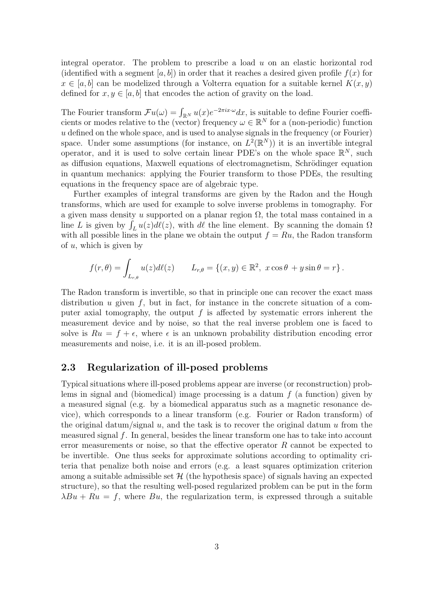integral operator. The problem to prescribe a load  $u$  on an elastic horizontal rod (identified with a segment  $[a, b]$ ) in order that it reaches a desired given profile  $f(x)$  for  $x \in [a, b]$  can be modelized through a Volterra equation for a suitable kernel  $K(x, y)$ defined for  $x, y \in [a, b]$  that encodes the action of gravity on the load.

The Fourier transform  $\mathcal{F}u(\omega) = \int_{\mathbb{R}^N} u(x) e^{-2\pi i x \cdot \omega} dx$ , is suitable to define Fourier coefficients or modes relative to the (vector) frequency  $\omega \in \mathbb{R}^N$  for a (non-periodic) function  $u$  defined on the whole space, and is used to analyse signals in the frequency (or Fourier) space. Under some assumptions (for instance, on  $L^2(\mathbb{R}^N)$ ) it is an invertible integral operator, and it is used to solve certain linear PDE's on the whole space  $\mathbb{R}^N$ , such as diffusion equations, Maxwell equations of electromagnetism, Schrödinger equation in quantum mechanics: applying the Fourier transform to those PDEs, the resulting equations in the frequency space are of algebraic type.

Further examples of integral transforms are given by the Radon and the Hough transforms, which are used for example to solve inverse problems in tomography. For a given mass density u supported on a planar region  $\Omega$ , the total mass contained in a line L is given by  $\int_L u(z) d\ell(z)$ , with  $d\ell$  the line element. By scanning the domain  $\Omega$ with all possible lines in the plane we obtain the output  $f = Ru$ , the Radon transform of  $u$ , which is given by

$$
f(r,\theta) = \int_{L_{r,\theta}} u(z)d\ell(z) \qquad L_{r,\theta} = \{(x,y) \in \mathbb{R}^2, \ x \cos \theta + y \sin \theta = r \}.
$$

The Radon transform is invertible, so that in principle one can recover the exact mass distribution u given  $f$ , but in fact, for instance in the concrete situation of a computer axial tomography, the output  $f$  is affected by systematic errors inherent the measurement device and by noise, so that the real inverse problem one is faced to solve is  $Ru = f + \epsilon$ , where  $\epsilon$  is an unknown probability distribution encoding error measurements and noise, i.e. it is an ill-posed problem.

### 2.3 Regularization of ill-posed problems

Typical situations where ill-posed problems appear are inverse (or reconstruction) problems in signal and (biomedical) image processing is a datum  $f$  (a function) given by a measured signal (e.g. by a biomedical apparatus such as a magnetic resonance device), which corresponds to a linear transform (e.g. Fourier or Radon transform) of the original datum/signal  $u$ , and the task is to recover the original datum  $u$  from the measured signal f. In general, besides the linear transform one has to take into account error measurements or noise, so that the effective operator R cannot be expected to be invertible. One thus seeks for approximate solutions according to optimality criteria that penalize both noise and errors (e.g. a least squares optimization criterion among a suitable admissible set  $H$  (the hypothesis space) of signals having an expected structure), so that the resulting well-posed regularized problem can be put in the form  $\lambda Bu + Ru = f$ , where Bu, the regularization term, is expressed through a suitable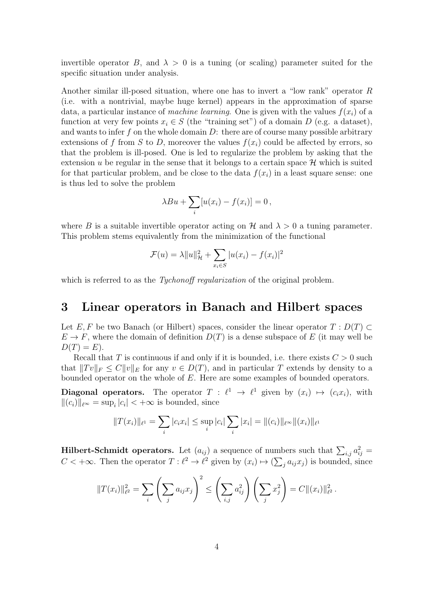invertible operator B, and  $\lambda > 0$  is a tuning (or scaling) parameter suited for the specific situation under analysis.

Another similar ill-posed situation, where one has to invert a "low rank" operator R (i.e. with a nontrivial, maybe huge kernel) appears in the approximation of sparse data, a particular instance of machine learning. One is given with the values  $f(x_i)$  of a function at very few points  $x_i \in S$  (the "training set") of a domain D (e.g. a dataset), and wants to infer f on the whole domain  $D$ : there are of course many possible arbitrary extensions of f from S to D, moreover the values  $f(x_i)$  could be affected by errors, so that the problem is ill-posed. One is led to regularize the problem by asking that the extension u be regular in the sense that it belongs to a certain space  $\mathcal H$  which is suited for that particular problem, and be close to the data  $f(x_i)$  in a least square sense: one is thus led to solve the problem

$$
\lambda Bu + \sum_{i} [u(x_i) - f(x_i)] = 0,
$$

where B is a suitable invertible operator acting on H and  $\lambda > 0$  a tuning parameter. This problem stems equivalently from the minimization of the functional

$$
\mathcal{F}(u) = \lambda ||u||_{\mathcal{H}}^2 + \sum_{x_i \in S} |u(x_i) - f(x_i)|^2
$$

which is referred to as the *Tychonoff regularization* of the original problem.

## 3 Linear operators in Banach and Hilbert spaces

Let E, F be two Banach (or Hilbert) spaces, consider the linear operator  $T : D(T) \subset$  $E \to F$ , where the domain of definition  $D(T)$  is a dense subspace of E (it may well be  $D(T) = E$ ).

Recall that T is continuous if and only if it is bounded, i.e. there exists  $C > 0$  such that  $||Tv||_F \leq C||v||_E$  for any  $v \in D(T)$ , and in particular T extends by density to a bounded operator on the whole of E. Here are some examples of bounded operators.

**Diagonal operators.** The operator  $T : \ell^1 \to \ell^1$  given by  $(x_i) \mapsto (c_i x_i)$ , with  $||(c_i)||_{\ell^{\infty}} = \sup_i |c_i| < +\infty$  is bounded, since

$$
||T(x_i)||_{\ell^1} = \sum_i |c_i x_i| \le \sup_i |c_i| \sum_i |x_i| = ||(c_i)||_{\ell^\infty} ||(x_i)||_{\ell^1}
$$

**Hilbert-Schmidt operators.** Let  $(a_{ij})$  a sequence of numbers such that  $\sum_{i,j} a_{ij}^2 =$  $C < +\infty$ . Then the operator  $T : \ell^2 \to \ell^2$  given by  $(x_i) \mapsto (\sum_j a_{ij} x_j)$  is bounded, since

$$
||T(x_i)||_{\ell^2}^2 = \sum_i \left(\sum_j a_{ij} x_j\right)^2 \le \left(\sum_{i,j} a_{ij}^2\right) \left(\sum_j x_j^2\right) = C ||(x_i)||_{\ell^2}^2.
$$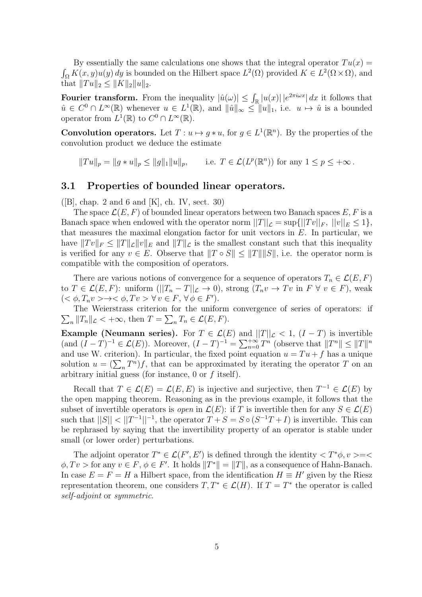By essentially the same calculations one shows that the integral operator  $Tu(x)$  =  $\int_{\Omega} K(x, y) u(y) dy$  is bounded on the Hilbert space  $L^2(\Omega)$  provided  $K \in L^2(\Omega \times \Omega)$ , and that  $||Tu||_2 \leq ||K||_2||u||_2$ .

Fourier transform. From the inequality  $|\hat{u}(\omega)| \leq \int_{\mathbb{R}} |u(x)| |e^{2\pi i \omega x}| dx$  it follows that  $\hat{u} \in C^0 \cap L^{\infty}(\mathbb{R})$  whenever  $u \in L^1(\mathbb{R})$ , and  $\|\hat{u}\|_{\infty} \leq \|u\|_1$ , i.e.  $u \mapsto \hat{u}$  is a bounded operator from  $L^1(\mathbb{R})$  to  $C^0 \cap L^{\infty}(\mathbb{R})$ .

**Convolution operators.** Let  $T: u \mapsto g * u$ , for  $g \in L^1(\mathbb{R}^n)$ . By the properties of the convolution product we deduce the estimate

 $||Tu||_p = ||g*u||_p \le ||g||_1 ||u||_p$ , i.e.  $T \in \mathcal{L}(L^p(\mathbb{R}^n))$  for any  $1 \le p \le +\infty$ .

#### 3.1 Properties of bounded linear operators.

([B], chap. 2 and 6 and [K], ch. IV, sect. 30)

The space  $\mathcal{L}(E, F)$  of bounded linear operators between two Banach spaces E, F is a Banach space when endowed with the operator norm  $||T||_{\mathcal{L}} = \sup{||Tv||_F, ||v||_E \leq 1},$ that measures the maximal elongation factor for unit vectors in  $E$ . In particular, we have  $||Tv||_F \leq ||T||_{\mathcal{L}}||v||_E$  and  $||T||_{\mathcal{L}}$  is the smallest constant such that this inequality is verified for any  $v \in E$ . Observe that  $||T \circ S|| \le ||T|| ||S||$ , i.e. the operator norm is compatible with the composition of operators.

There are various notions of convergence for a sequence of operators  $T_n \in \mathcal{L}(E, F)$ to  $T \in \mathcal{L}(E, F)$ : uniform  $(||T_n - T||_{\mathcal{L}} \to 0)$ , strong  $(T_n v \to Tv \text{ in } F \ \forall \ v \in F)$ , weak  $(<\phi, T_n v> \to <\phi, Tv> \forall v \in F, \forall \phi \in F'.$ 

 $\sum_{n} ||T_n||_{\mathcal{L}} < +\infty$ , then  $T = \sum_{n} T_n \in \mathcal{L}(E, F)$ . The Weierstrass criterion for the uniform convergence of series of operators: if

**Example (Neumann series).** For  $T \in \mathcal{L}(E)$  and  $||T||_{\mathcal{L}} < 1$ ,  $(I - T)$  is invertible (and  $(I - T)^{-1} \in \mathcal{L}(E)$ ). Moreover,  $(I - T)^{-1} = \sum_{n=0}^{+\infty} T^n$  (observe that  $||T^n|| \le ||T||^n$ and use W. criterion). In particular, the fixed point equation  $u = Tu + f$  has a unique solution  $u = (\sum_n T^n)f$ , that can be approximated by iterating the operator T on an arbitrary initial guess (for instance, 0 or f itself).

Recall that  $T \in \mathcal{L}(E) = \mathcal{L}(E, E)$  is injective and surjective, then  $T^{-1} \in \mathcal{L}(E)$  by the open mapping theorem. Reasoning as in the previous example, it follows that the subset of invertible operators is *open* in  $\mathcal{L}(E)$ : if T is invertible then for any  $S \in \mathcal{L}(E)$ such that  $||S|| < ||T^{-1}||^{-1}$ , the operator  $T + S = S \circ (S^{-1}T + I)$  is invertible. This can be rephrased by saying that the invertibility property of an operator is stable under small (or lower order) perturbations.

The adjoint operator  $T^* \in \mathcal{L}(F', E')$  is defined through the identity  $\langle T^* \phi, v \rangle = \langle$  $\phi, Tv >$  for any  $v \in F, \phi \in F'$ . It holds  $||T^*|| = ||T||$ , as a consequence of Hahn-Banach. In case  $E = F = H$  a Hilbert space, from the identification  $H \equiv H'$  given by the Riesz representation theorem, one considers  $T, T^* \in \mathcal{L}(H)$ . If  $T = T^*$  the operator is called self-adjoint or symmetric.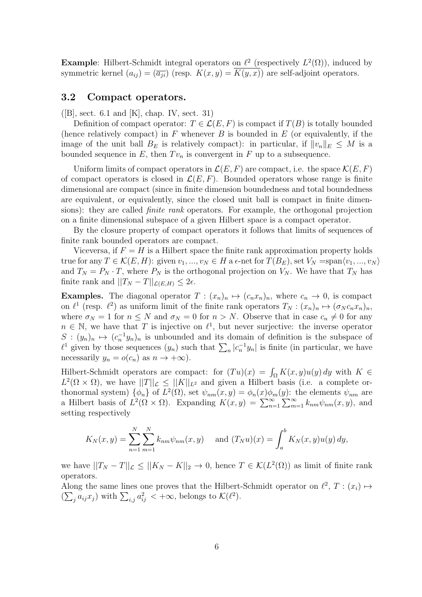**Example:** Hilbert-Schmidt integral operators on  $\ell^2$  (respectively  $L^2(\Omega)$ ), induced by symmetric kernel  $(a_{ij}) = (\overline{a_{ji}})$  (resp.  $K(x, y) = \overline{K(y, x)}$ ) are self-adjoint operators.

### 3.2 Compact operators.

 $([B], \text{sect. } 6.1 \text{ and } [K], \text{ chap. } IV, \text{ sect. } 31)$ 

Definition of compact operator:  $T \in \mathcal{L}(E, F)$  is compact if  $T(B)$  is totally bounded (hence relatively compact) in  $F$  whenever  $B$  is bounded in  $E$  (or equivalently, if the image of the unit ball  $B_E$  is relatively compact): in particular, if  $||v_n||_E \leq M$  is a bounded sequence in  $E$ , then  $Tv_n$  is convergent in  $F$  up to a subsequence.

Uniform limits of compact operators in  $\mathcal{L}(E, F)$  are compact, i.e. the space  $\mathcal{K}(E, F)$ of compact operators is closed in  $\mathcal{L}(E, F)$ . Bounded operators whose range is finite dimensional are compact (since in finite dimension boundedness and total boundedness are equivalent, or equivalently, since the closed unit ball is compact in finite dimensions): they are called finite rank operators. For example, the orthogonal projection on a finite dimensional subspace of a given Hilbert space is a compact operator.

By the closure property of compact operators it follows that limits of sequences of finite rank bounded operators are compact.

Viceversa, if  $F = H$  is a Hilbert space the finite rank approximation property holds true for any  $T \in \mathcal{K}(E, H)$ : given  $v_1, ..., v_N \in H$  a  $\epsilon$ -net for  $T(B_E)$ , set  $V_N = \text{span}\langle v_1, ..., v_N \rangle$ and  $T_N = P_N \cdot T$ , where  $P_N$  is the orthogonal projection on  $V_N$ . We have that  $T_N$  has finite rank and  $||T_N - T||_{\mathcal{L}(E,H)} \leq 2\epsilon$ .

**Examples.** The diagonal operator  $T : (x_n)_n \mapsto (c_n x_n)_n$ , where  $c_n \to 0$ , is compact on  $\ell^1$  (resp.  $\ell^2$ ) as uniform limit of the finite rank operators  $T_N : (x_n)_n \mapsto (\sigma_N c_n x_n)_n$ , where  $\sigma_N = 1$  for  $n \leq N$  and  $\sigma_N = 0$  for  $n > N$ . Observe that in case  $c_n \neq 0$  for any  $n \in \mathbb{N}$ , we have that T is injective on  $\ell^1$ , but never surjective: the inverse operator  $S: (y_n)_n \mapsto (c_n^{-1}y_n)_n$  is unbounded and its domain of definition is the subspace of  $\ell^1$  given by those sequences  $(y_n)$  such that  $\sum_n |c_n^{-1}y_n|$  is finite (in particular, we have necessarily  $y_n = o(c_n)$  as  $n \to +\infty$ ).

Hilbert-Schmidt operators are compact: for  $(Tu)(x) = \int_{\Omega} K(x, y)u(y) dy$  with  $K \in$  $L^2(\Omega \times \Omega)$ , we have  $||T||_{\mathcal{L}} \leq ||K||_{L^2}$  and given a Hilbert basis (i.e. a complete orthonormal system)  $\{\phi_n\}$  of  $L^2(\Omega)$ , set  $\psi_{nm}(x, y) = \phi_n(x)\phi_m(y)$ : the elements  $\psi_{nm}$  are a Hilbert basis of  $L^2(\Omega \times \Omega)$ . Expanding  $K(x, y) = \sum_{n=1}^{\infty} \sum_{m=1}^{\infty} k_{nm} \psi_{nm}(x, y)$ , and setting respectively

$$
K_N(x, y) = \sum_{n=1}^N \sum_{m=1}^N k_{nm} \psi_{nm}(x, y)
$$
 and  $(T_N u)(x) = \int_a^b K_N(x, y) u(y) dy$ ,

we have  $||T_N - T||_{\mathcal{L}} \le ||K_N - K||_2 \to 0$ , hence  $T \in \mathcal{K}(L^2(\Omega))$  as limit of finite rank operators.

Along the same lines one proves that the Hilbert-Schmidt operator on  $\ell^2$ ,  $T : (x_i) \mapsto$  $(\sum_j a_{ij} x_j)$  with  $\sum_{i,j} a_{ij}^2 < +\infty$ , belongs to  $\mathcal{K}(\ell^2)$ .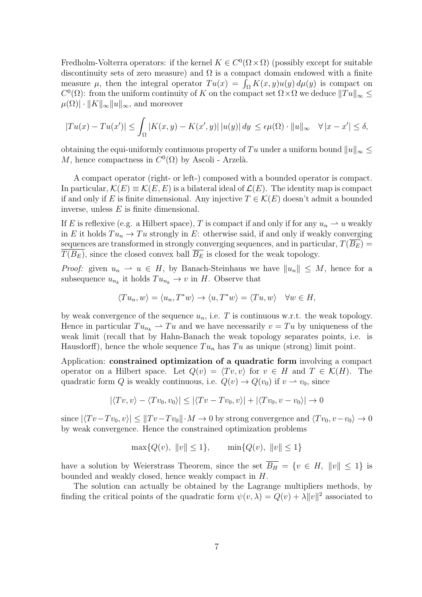Fredholm-Volterra operators: if the kernel  $K \in C^{0}(\Omega \times \Omega)$  (possibly except for suitable discontinuity sets of zero measure) and  $\Omega$  is a compact domain endowed with a finite measure  $\mu$ , then the integral operator  $Tu(x) = \int_{\Omega} K(x, y)u(y) d\mu(y)$  is compact on  $C^0(\Omega)$ : from the uniform continuity of K on the compact set  $\Omega \times \Omega$  we deduce  $||Tu||_{\infty} \le$  $\mu(\Omega) \cdot ||K||_{\infty} ||u||_{\infty}$ , and moreover

$$
|Tu(x) - Tu(x')| \le \int_{\Omega} |K(x, y) - K(x', y)| \, |u(y)| \, dy \le \epsilon \mu(\Omega) \cdot \|u\|_{\infty} \quad \forall |x - x'| \le \delta,
$$

obtaining the equi-uniformly continuous property of Tu under a uniform bound  $||u||_{\infty} \leq$ M, hence compactness in  $C^0(\Omega)$  by Ascoli - Arzelà.

A compact operator (right- or left-) composed with a bounded operator is compact. In particular,  $\mathcal{K}(E) \equiv \mathcal{K}(E,E)$  is a bilateral ideal of  $\mathcal{L}(E)$ . The identity map is compact if and only if E is finite dimensional. Any injective  $T \in \mathcal{K}(E)$  doesn't admit a bounded inverse, unless E is finite dimensional.

If E is reflexive (e.g. a Hilbert space), T is compact if and only if for any  $u_n \rightharpoonup u$  weakly in E it holds  $Tu_n \to Tu$  strongly in E: otherwise said, if and only if weakly converging sequences are transformed in strongly converging sequences, and in particular,  $T(\overline{B_E}) =$  $T(B_E)$ , since the closed convex ball  $\overline{B_E}$  is closed for the weak topology.

*Proof:* given  $u_n \rightharpoonup u \in H$ , by Banach-Steinhaus we have  $||u_n|| \leq M$ , hence for a subsequence  $u_{n_k}$  it holds  $Tu_{n_k} \to v$  in H. Observe that

$$
\langle Tu_n, w \rangle = \langle u_n, T^*w \rangle \to \langle u, T^*w \rangle = \langle Tu, w \rangle \quad \forall w \in H,
$$

by weak convergence of the sequence  $u_n$ , i.e. T is continuous w.r.t. the weak topology. Hence in particular  $Tu_{n_k} \rightharpoonup Tu$  and we have necessarily  $v = Tu$  by uniqueness of the weak limit (recall that by Hahn-Banach the weak topology separates points, i.e. is Hausdorff), hence the whole sequence  $Tu_n$  has  $Tu$  as unique (strong) limit point.

Application: constrained optimization of a quadratic form involving a compact operator on a Hilbert space. Let  $Q(v) = \langle Tv, v \rangle$  for  $v \in H$  and  $T \in \mathcal{K}(H)$ . The quadratic form Q is weakly continuous, i.e.  $Q(v) \to Q(v_0)$  if  $v \to v_0$ , since

$$
|\langle Tv, v \rangle - \langle Tv_0, v_0 \rangle| \le |\langle Tv - Tv_0, v \rangle| + |\langle Tv_0, v - v_0 \rangle| \to 0
$$

since  $|\langle Tv-Tv_0, v\rangle| \leq ||Tv-Tv_0|| \cdot M \to 0$  by strong convergence and  $\langle Tv_0, v-v_0\rangle \to 0$ by weak convergence. Hence the constrained optimization problems

$$
\max\{Q(v), \|v\| \le 1\}, \qquad \min\{Q(v), \|v\| \le 1\}
$$

have a solution by Weierstrass Theorem, since the set  $\overline{B_H} = \{v \in H, ||v|| \leq 1\}$  is bounded and weakly closed, hence weakly compact in H.

The solution can actually be obtained by the Lagrange multipliers methods, by finding the critical points of the quadratic form  $\psi(v, \lambda) = Q(v) + \lambda ||v||^2$  associated to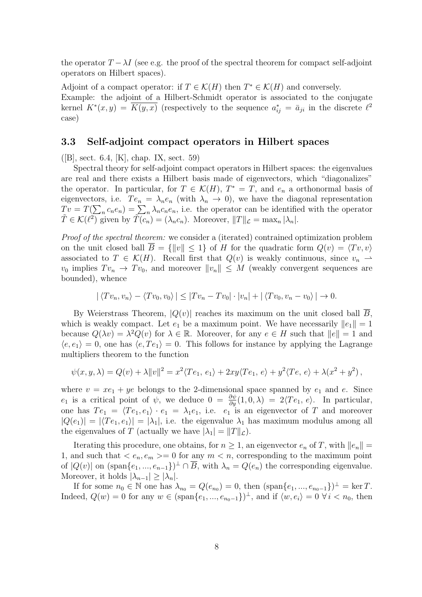the operator  $T - \lambda I$  (see e.g. the proof of the spectral theorem for compact self-adjoint operators on Hilbert spaces).

Adjoint of a compact operator: if  $T \in \mathcal{K}(H)$  then  $T^* \in \mathcal{K}(H)$  and conversely. Example: the adjoint of a Hilbert-Schmidt operator is associated to the conjugate kernel  $K^*(x, y) = \overline{K(y, x)}$  (respectively to the sequence  $a_{ij}^* = \overline{a}_{ji}$  in the discrete  $\ell^2$ case)

### 3.3 Self-adjoint compact operators in Hilbert spaces

 $([B], \text{sect. } 6.4, [K], \text{chap. } IX, \text{ sect. } 59)$ 

Spectral theory for self-adjoint compact operators in Hilbert spaces: the eigenvalues are real and there exists a Hilbert basis made of eigenvectors, which "diagonalizes" the operator. In particular, for  $T \in \mathcal{K}(H)$ ,  $T^* = T$ , and  $e_n$  a orthonormal basis of eigenvectors, i.e.  $Te_n = \lambda_n e_n$  (with  $\lambda_n \to 0$ ), we have the diagonal representation  $Tv = T(\sum_n c_n e_n) = \sum_n \lambda_n c_n e_n$ , i.e. the operator can be identified with the operator  $\widetilde{T} \in \mathcal{K}(\ell^2)$  given by  $\widetilde{T(c_n)} = (\lambda_n c_n)$ . Moreover,  $||T||_{\mathcal{L}} = \max_n |\lambda_n|$ .

Proof of the spectral theorem: we consider a (iterated) contrained optimization problem on the unit closed ball  $\overline{B} = \{\Vert v \Vert \leq 1\}$  of H for the quadratic form  $Q(v) = \langle Tv, v \rangle$ associated to  $T \in \mathcal{K}(H)$ . Recall first that  $Q(v)$  is weakly continuous, since  $v_n \rightharpoonup$  $v_0$  implies  $Tv_n \to Tv_0$ , and moreover  $||v_n|| \leq M$  (weakly convergent sequences are bounded), whence

$$
|\langle Tv_n, v_n \rangle - \langle Tv_0, v_0 \rangle| \le |Tv_n - Tv_0| \cdot |v_n| + |\langle Tv_0, v_n - v_0 \rangle| \to 0.
$$

By Weierstrass Theorem,  $|Q(v)|$  reaches its maximum on the unit closed ball  $\overline{B}$ , which is weakly compact. Let  $e_1$  be a maximum point. We have necessarily  $||e_1|| = 1$ because  $Q(\lambda v) = \lambda^2 Q(v)$  for  $\lambda \in \mathbb{R}$ . Moreover, for any  $e \in H$  such that  $||e|| = 1$  and  $\langle e, e_1 \rangle = 0$ , one has  $\langle e, Te_1 \rangle = 0$ . This follows for instance by applying the Lagrange multipliers theorem to the function

$$
\psi(x, y, \lambda) = Q(v) + \lambda ||v||^2 = x^2 \langle Te_1, e_1 \rangle + 2xy \langle Te_1, e \rangle + y^2 \langle Te, e \rangle + \lambda (x^2 + y^2),
$$

where  $v = xe_1 + ye$  belongs to the 2-dimensional space spanned by  $e_1$  and  $e$ . Since  $e_1$  is a critical point of  $\psi$ , we deduce  $0 = \frac{\partial \psi}{\partial y}(1,0,\lambda) = 2\langle Te_1, e \rangle$ . In particular, one has  $Te_1 = \langle Te_1, e_1 \rangle \cdot e_1 = \lambda_1 e_1$ , i.e.  $e_1$  is an eigenvector of T and moreover  $|Q(e_1)| = |\langle Te_1, e_1 \rangle| = |\lambda_1|$ , i.e. the eigenvalue  $\lambda_1$  has maximum modulus among all the eigenvalues of T (actually we have  $|\lambda_1| = ||T||_{\mathcal{L}}$ ).

Iterating this procedure, one obtains, for  $n \geq 1$ , an eigenvector  $e_n$  of T, with  $||e_n|| =$ 1, and such that  $\langle e_n, e_m \rangle = 0$  for any  $m \langle n \rangle$ , corresponding to the maximum point of  $|Q(v)|$  on  $(\text{span}\{e_1, ..., e_{n-1}\})^{\perp} \cap \overline{B}$ , with  $\lambda_n = Q(e_n)$  the corresponding eigenvalue. Moreover, it holds  $|\lambda_{n-1}| \geq |\lambda_n|$ .

If for some  $n_0 \in \mathbb{N}$  one has  $\lambda_{n_0} = Q(e_{n_0}) = 0$ , then  $(\text{span}\{e_1, ..., e_{n_0-1}\})^{\perp} = \ker T$ . Indeed,  $Q(w) = 0$  for any  $w \in (\text{span}\{e_1, ..., e_{n_0-1}\})^{\perp}$ , and if  $\langle w, e_i \rangle = 0 \ \forall i \langle n_0, \text{ then}$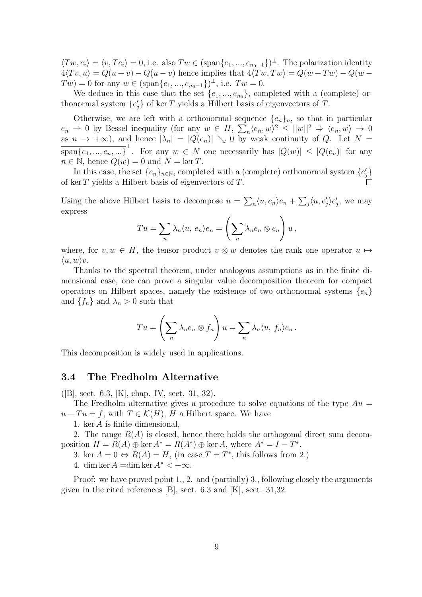$\langle Tw, e_i \rangle = \langle v, Te_i \rangle = 0$ , i.e. also  $Tw \in (\text{span}\{e_1, ..., e_{n_0-1}\})^{\perp}$ . The polarization identity  $4\langle Tv, u \rangle = Q(u+v) - Q(u-v)$  hence implies that  $4\langle Tw, Tw \rangle = Q(w+Tw) - Q(w-v)$  $Tw) = 0$  for any  $w \in (\text{span}\{e_1, ..., e_{n_0-1}\})^{\perp}$ , i.e.  $Tw = 0$ .

We deduce in this case that the set  $\{e_1, ..., e_{n_0}\}$ , completed with a (complete) orthonormal system  $\{e'_{j}\}$  of ker T yields a Hilbert basis of eigenvectors of T.

Otherwise, we are left with a orthonormal sequence  $\{e_n\}_n$ , so that in particular  $e_n \rightharpoonup 0$  by Bessel inequality (for any  $w \in H$ ,  $\sum_n \langle e_n, w \rangle^2 \le ||w||^2 \Rightarrow \langle e_n, w \rangle \to 0$ as  $n \to +\infty$ ), and hence  $|\lambda_n| = |Q(e_n)| \searrow 0$  by weak continuity of Q. Let  $N =$  $\overline{\text{span}\{e_1, ..., e_n, ...\}}^{\perp}$ . For any  $w \in N$  one necessarily has  $|Q(w)| \leq |Q(e_n)|$  for any  $n \in \mathbb{N}$ , hence  $Q(w) = 0$  and  $N = \ker T$ .

In this case, the set  $\{e_n\}_{n\in\mathbb{N}}$ , completed with a (complete) orthonormal system  $\{e'_j\}$ of ker T yields a Hilbert basis of eigenvectors of T.

Using the above Hilbert basis to decompose  $u = \sum_n \langle u, e_n \rangle e_n + \sum_j \langle u, e'_j \rangle e'_j$ , we may express

$$
Tu = \sum_{n} \lambda_n \langle u, e_n \rangle e_n = \left( \sum_{n} \lambda_n e_n \otimes e_n \right) u,
$$

where, for  $v, w \in H$ , the tensor product  $v \otimes w$  denotes the rank one operator  $u \mapsto$  $\langle u, w \rangle v.$ 

Thanks to the spectral theorem, under analogous assumptions as in the finite dimensional case, one can prove a singular value decomposition theorem for compact operators on Hilbert spaces, namely the existence of two orthonormal systems  $\{e_n\}$ and  $\{f_n\}$  and  $\lambda_n > 0$  such that

$$
Tu = \left(\sum_{n} \lambda_n e_n \otimes f_n\right) u = \sum_{n} \lambda_n \langle u, f_n \rangle e_n.
$$

This decomposition is widely used in applications.

#### 3.4 The Fredholm Alternative

([B], sect. 6.3, [K], chap. IV, sect. 31, 32).

The Fredholm alternative gives a procedure to solve equations of the type  $Au =$  $u - Tu = f$ , with  $T \in \mathcal{K}(H)$ , H a Hilbert space. We have

1. ker A is finite dimensional,

2. The range  $R(A)$  is closed, hence there holds the orthogonal direct sum decomposition  $H = R(A) \oplus \ker A^* = R(A^*) \oplus \ker A$ , where  $A^* = I - T^*$ .

3. ker  $A = 0 \Leftrightarrow R(A) = H$ , (in case  $T = T^*$ , this follows from 2.)

4. dim ker  $A = \dim \ker A^* < +\infty$ .

Proof: we have proved point 1., 2. and (partially) 3., following closely the arguments given in the cited references [B], sect. 6.3 and [K], sect. 31,32.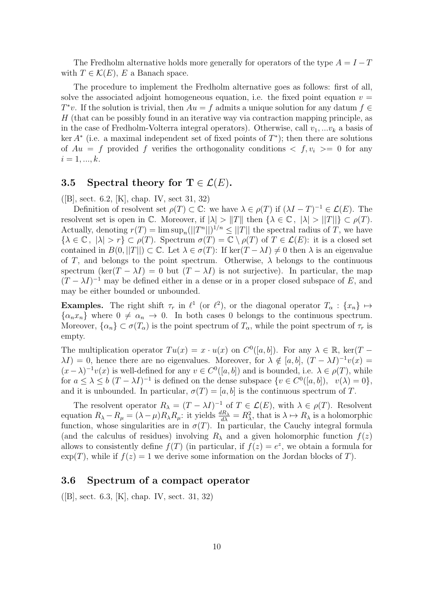The Fredholm alternative holds more generally for operators of the type  $A = I - T$ with  $T \in \mathcal{K}(E)$ , E a Banach space.

The procedure to implement the Fredholm alternative goes as follows: first of all, solve the associated adjoint homogeneous equation, i.e. the fixed point equation  $v =$  $T^*v$ . If the solution is trivial, then  $Au = f$  admits a unique solution for any datum  $f \in$ H (that can be possibly found in an iterative way via contraction mapping principle, as in the case of Fredholm-Volterra integral operators). Otherwise, call  $v_1, ... v_k$  a basis of ker  $A^*$  (i.e. a maximal independent set of fixed points of  $T^*$ ); then there are solutions of  $Au = f$  provided f verifies the orthogonality conditions  $\langle f, v_i \rangle = 0$  for any  $i = 1, ..., k$ .

### 3.5 Spectral theory for  $T \in \mathcal{L}(E)$ .

([B], sect. 6.2, [K], chap. IV, sect 31, 32)

Definition of resolvent set  $\rho(T) \subset \mathbb{C}$ : we have  $\lambda \in \rho(T)$  if  $(\lambda I - T)^{-1} \in \mathcal{L}(E)$ . The resolvent set is open in C. Moreover, if  $|\lambda| > ||T||$  then  $\{\lambda \in \mathbb{C}, |\lambda| > ||T||\} \subset \rho(T)$ . Actually, denoting  $r(T) = \limsup_n (||T^n||)^{1/n} \le ||T||$  the spectral radius of T, we have  $\{\lambda \in \mathbb{C}, |\lambda| > r\} \subset \rho(T)$ . Spectrum  $\sigma(T) = \mathbb{C} \setminus \rho(T)$  of  $T \in \mathcal{L}(E)$ : it is a closed set contained in  $B(0,||T||) \subset \mathbb{C}$ . Let  $\lambda \in \sigma(T)$ : If ker $(T - \lambda I) \neq 0$  then  $\lambda$  is an eigenvalue of T, and belongs to the point spectrum. Otherwise,  $\lambda$  belongs to the continuous spectrum (ker(T −  $\lambda I$ ) = 0 but (T −  $\lambda I$ ) is not surjective). In particular, the map  $(T - \lambda I)^{-1}$  may be defined either in a dense or in a proper closed subspace of E, and may be either bounded or unbounded.

**Examples.** The right shift  $\tau_r$  in  $\ell^1$  (or  $\ell^2$ ), or the diagonal operator  $T_\alpha$ :  $\{x_n\} \mapsto$  $\{\alpha_n x_n\}$  where  $0 \neq \alpha_n \to 0$ . In both cases 0 belongs to the continuous spectrum. Moreover,  $\{\alpha_n\} \subset \sigma(T_\alpha)$  is the point spectrum of  $T_\alpha$ , while the point spectrum of  $\tau_r$  is empty.

The multiplication operator  $Tu(x) = x \cdot u(x)$  on  $C^0([a, b])$ . For any  $\lambda \in \mathbb{R}$ , ker $(T \lambda I$ ) = 0, hence there are no eigenvalues. Moreover, for  $\lambda \notin [a, b]$ ,  $(T - \lambda I)^{-1}v(x)$  =  $(x - \lambda)^{-1}v(x)$  is well-defined for any  $v \in C^{0}([a, b])$  and is bounded, i.e.  $\lambda \in \rho(T)$ , while for  $a \leq \lambda \leq b$   $(T - \lambda I)^{-1}$  is defined on the dense subspace  $\{v \in C^{0}([a, b]), v(\lambda) = 0\},\$ and it is unbounded. In particular,  $\sigma(T) = [a, b]$  is the continuous spectrum of T.

The resolvent operator  $R_{\lambda} = (T - \lambda I)^{-1}$  of  $T \in \mathcal{L}(E)$ , with  $\lambda \in \rho(T)$ . Resolvent equation  $R_{\lambda} - R_{\mu} = (\lambda - \mu) R_{\lambda} R_{\mu}$ : it yields  $\frac{dR_{\lambda}}{d\lambda} = R_{\lambda}^2$ , that is  $\lambda \mapsto R_{\lambda}$  is a holomorphic function, whose singularities are in  $\sigma(T)$ . In particular, the Cauchy integral formula (and the calculus of residues) involving  $R_{\lambda}$  and a given holomorphic function  $f(z)$ allows to consistently define  $f(T)$  (in particular, if  $f(z) = e^z$ , we obtain a formula for  $\exp(T)$ , while if  $f(z) = 1$  we derive some information on the Jordan blocks of T).

### 3.6 Spectrum of a compact operator

([B], sect. 6.3, [K], chap. IV, sect. 31, 32)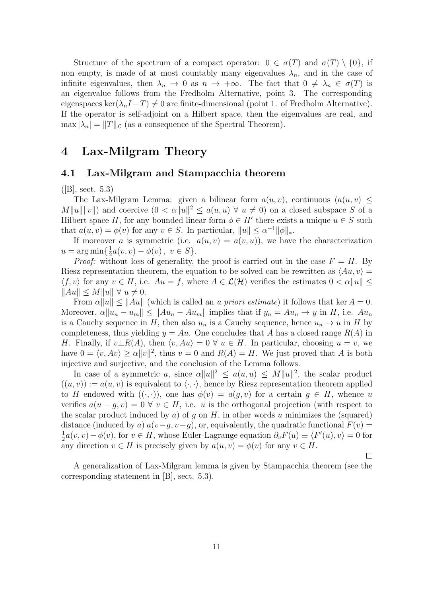Structure of the spectrum of a compact operator:  $0 \in \sigma(T)$  and  $\sigma(T) \setminus \{0\}$ , if non empty, is made of at most countably many eigenvalues  $\lambda_n$ , and in the case of infinite eigenvalues, then  $\lambda_n \to 0$  as  $n \to +\infty$ . The fact that  $0 \neq \lambda_n \in \sigma(T)$  is an eigenvalue follows from the Fredholm Alternative, point 3. The corresponding eigenspaces ker( $\lambda_n I - T$ )  $\neq 0$  are finite-dimensional (point 1. of Fredholm Alternative). If the operator is self-adjoint on a Hilbert space, then the eigenvalues are real, and  $\max |\lambda_n| = ||T||_{\mathcal{L}}$  (as a consequence of the Spectral Theorem).

## 4 Lax-Milgram Theory

#### 4.1 Lax-Milgram and Stampacchia theorem

 $([B], \, \text{sect. } 5.3)$ 

The Lax-Milgram Lemma: given a bilinear form  $a(u, v)$ , continuous  $(a(u, v)$  <  $M||u|| ||v||$  and coercive  $(0 < \alpha ||u||^2 \le a(u, u) \ \forall u \neq 0)$  on a closed subspace S of a Hilbert space H, for any bounded linear form  $\phi \in H'$  there exists a unique  $u \in S$  such that  $a(u, v) = \phi(v)$  for any  $v \in S$ . In particular,  $||u|| \leq \alpha^{-1} ||\phi||_*$ .

If moreover a is symmetric (i.e.  $a(u, v) = a(v, u)$ ), we have the characterization  $u = \arg \min \left\{ \frac{1}{2} \right\}$  $\frac{1}{2}a(v, v) - \phi(v), v \in S$ .

*Proof:* without loss of generality, the proof is carried out in the case  $F = H$ . By Riesz representation theorem, the equation to be solved can be rewritten as  $\langle Au, v \rangle =$  $\langle f, v \rangle$  for any  $v \in H$ , i.e.  $Au = f$ , where  $A \in \mathcal{L}(\mathcal{H})$  verifies the estimates  $0 < \alpha ||u|| \leq$  $\|Au\| \le M \|u\| \ \forall \ u \neq 0.$ 

From  $\alpha ||u|| \le ||Au||$  (which is called an a priori estimate) it follows that ker  $A = 0$ . Moreover,  $\alpha \|u_n - u_m\| \leq \|Au_n - Au_m\|$  implies that if  $y_n = Au_n \to y$  in H, i.e.  $Au_n$ is a Cauchy sequence in H, then also  $u_n$  is a Cauchy sequence, hence  $u_n \to u$  in H by completeness, thus yielding  $y = Au$ . One concludes that A has a closed range  $R(A)$  in H. Finally, if  $v \perp R(A)$ , then  $\langle v, Au \rangle = 0 \ \forall u \in H$ . In particular, choosing  $u = v$ , we have  $0 = \langle v, Av \rangle \ge \alpha ||v||^2$ , thus  $v = 0$  and  $R(A) = H$ . We just proved that A is both injective and surjective, and the conclusion of the Lemma follows.

In case of a symmetric a, since  $\alpha ||u||^2 \leq a(u,u) \leq M ||u||^2$ , the scalar product  $((u, v)) := a(u, v)$  is equivalent to  $\langle \cdot, \cdot \rangle$ , hence by Riesz representation theorem applied to H endowed with  $((\cdot,\cdot))$ , one has  $\phi(v) = a(g,v)$  for a certain  $g \in H$ , whence u verifies  $a(u-g, v) = 0 \ \forall \ v \in H$ , i.e. u is the orthogonal projection (with respect to the scalar product induced by a) of q on  $H$ , in other words u minimizes the (squared) distance (induced by a)  $a(v-g, v-g)$ , or, equivalently, the quadratic functional  $F(v)$  = 1  $\frac{1}{2}a(v, v) - \phi(v)$ , for  $v \in H$ , whose Euler-Lagrange equation  $\partial_v F(u) \equiv \langle F'(u), v \rangle = 0$  for any direction  $v \in H$  is precisely given by  $a(u, v) = \phi(v)$  for any  $v \in H$ .

A generalization of Lax-Milgram lemma is given by Stampacchia theorem (see the corresponding statement in [B], sect. 5.3).

П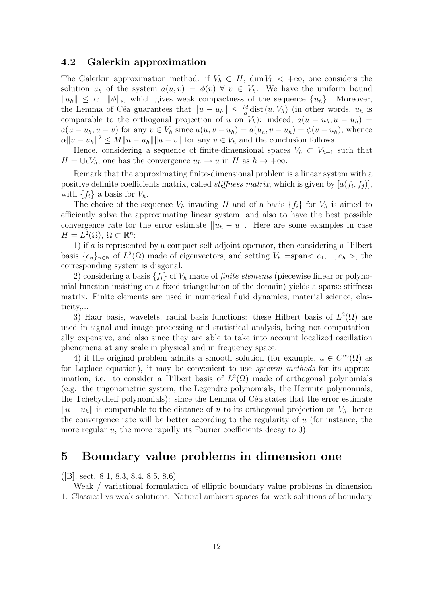### 4.2 Galerkin approximation

The Galerkin approximation method: if  $V_h \subset H$ , dim  $V_h \langle +\infty$ , one considers the solution  $u_h$  of the system  $a(u, v) = \phi(v) \forall v \in V_h$ . We have the uniform bound  $||u_h|| \leq \alpha^{-1} ||\phi||_*,$  which gives weak compactness of the sequence  $\{u_h\}.$  Moreover, the Lemma of Céa guarantees that  $||u - u_h|| \leq \frac{M}{\alpha}$ dist  $(u, V_h)$  (in other words,  $u_h$  is comparable to the orthogonal projection of u on  $V_h$ ): indeed,  $a(u - u_h, u - u_h)$  $a(u - u_h, u - v)$  for any  $v \in V_h$  since  $a(u, v - u_h) = a(u_h, v - u_h) = \phi(v - u_h)$ , whence  $\alpha \|u - u_h\|^2 \le M \|u - u_h\| \|u - v\|$  for any  $v \in V_h$  and the conclusion follows.

Hence, considering a sequence of finite-dimensional spaces  $V_h \subset V_{h+1}$  such that  $H = \bigcup_h V_h$ , one has the convergence  $u_h \to u$  in H as  $h \to +\infty$ .

Remark that the approximating finite-dimensional problem is a linear system with a positive definite coefficients matrix, called *stiffness matrix*, which is given by  $[a(f_i, f_j)],$ with  $\{f_i\}$  a basis for  $V_h$ .

The choice of the sequence  $V_h$  invading H and of a basis  $\{f_i\}$  for  $V_h$  is aimed to efficiently solve the approximating linear system, and also to have the best possible convergence rate for the error estimate  $||u_h - u||$ . Here are some examples in case  $H = L^2(\Omega), \, \Omega \subset \mathbb{R}^n$ :

1) if a is represented by a compact self-adjoint operator, then considering a Hilbert basis  $\{e_n\}_{n\in\mathbb{N}}$  of  $L^2(\Omega)$  made of eigenvectors, and setting  $V_h = \text{span} \langle e_1, ..., e_h \rangle$ , the corresponding system is diagonal.

2) considering a basis  $\{f_i\}$  of  $V_h$  made of *finite elements* (piecewise linear or polynomial function insisting on a fixed triangulation of the domain) yields a sparse stiffness matrix. Finite elements are used in numerical fluid dynamics, material science, elasticity,...

3) Haar basis, wavelets, radial basis functions: these Hilbert basis of  $L^2(\Omega)$  are used in signal and image processing and statistical analysis, being not computationally expensive, and also since they are able to take into account localized oscillation phenomena at any scale in physical and in frequency space.

4) if the original problem admits a smooth solution (for example,  $u \in C^{\infty}(\Omega)$  as for Laplace equation), it may be convenient to use spectral methods for its approximation, i.e. to consider a Hilbert basis of  $L^2(\Omega)$  made of orthogonal polynomials (e.g. the trigonometric system, the Legendre polynomials, the Hermite polynomials, the Tchebycheff polynomials): since the Lemma of Céa states that the error estimate  $||u - u_h||$  is comparable to the distance of u to its orthogonal projection on  $V_h$ , hence the convergence rate will be better according to the regularity of  $u$  (for instance, the more regular  $u$ , the more rapidly its Fourier coefficients decay to 0).

## 5 Boundary value problems in dimension one

([B], sect. 8.1, 8.3, 8.4, 8.5, 8.6)

Weak / variational formulation of elliptic boundary value problems in dimension 1. Classical vs weak solutions. Natural ambient spaces for weak solutions of boundary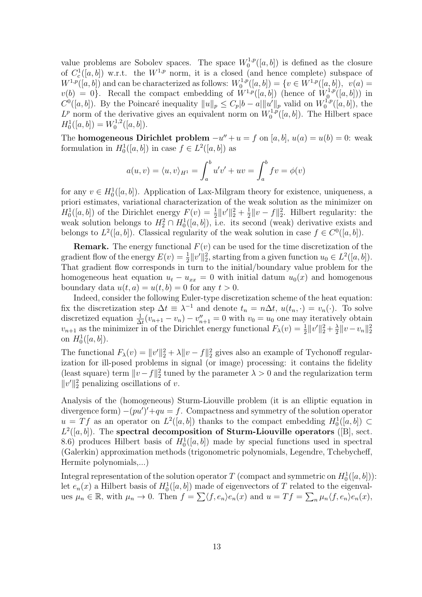value problems are Sobolev spaces. The space  $W_0^{1,p}$  $\binom{1,p}{0}$  is defined as the closure of  $C_c^1([a, b])$  w.r.t. the  $W^{1,p}$  norm, it is a closed (and hence complete) subspace of  $W^{1,p}([a, b])$  and can be characterized as follows:  $W_0^{1,p}$  $C_0^{1,p}([a,b]) = \{v \in W^{1,p}([a,b]),\,\, \, v(a) = 0\}$  $v(b) = 0$ . Recall the compact embedding of  $W^{1,p}([a, b])$  (hence of  $W^{1,p}_0$  ${\binom{1,p}{0}}([a,b]))$  in  $C^0([a, b])$ . By the Poincaré inequality  $||u||_p \leq C_p |b-a|||u'||_p$  valid on  $W_0^{1,p}$  $b_0^{1,p}([a, b]),$  the  $L^p$  norm of the derivative gives an equivalent norm on  $W_0^{1,p}$  $\binom{1,p}{0}$  $(n,b)$ . The Hilbert space  $H_0^1([a, b]) = W_0^{1,2}$  $\binom{1,2}{0}$   $([a, b]).$ 

The **homogeneous Dirichlet problem**  $-u'' + u = f$  on [a, b],  $u(a) = u(b) = 0$ : weak formulation in  $H_0^1([a, b])$  in case  $f \in L^2([a, b])$  as

$$
a(u,v) = \langle u,v \rangle_{H^1} = \int_a^b u'v' + uv = \int_a^b fv = \phi(v)
$$

for any  $v \in H_0^1([a, b])$ . Application of Lax-Milgram theory for existence, uniqueness, a priori estimates, variational characterization of the weak solution as the minimizer on  $H_0^1([a, b])$  of the Dirichlet energy  $F(v) = \frac{1}{2} ||v'||_2^2 + \frac{1}{2}$  $\frac{1}{2}||v-f||_2^2$ . Hilbert regularity: the weak solution belongs to  $H_2^2 \cap H_0^1([a, b])$ , i.e. its second (weak) derivative exists and belongs to  $L^2([a, b])$ . Classical regularity of the weak solution in case  $f \in C^0([a, b])$ .

**Remark.** The energy functional  $F(v)$  can be used for the time discretization of the gradient flow of the energy  $E(v) = \frac{1}{2} ||v'||_2^2$ , starting from a given function  $u_0 \in L^2([a, b])$ . That gradient flow corresponds in turn to the initial/boundary value problem for the homogeneous heat equation  $u_t - u_{xx} = 0$  with initial datum  $u_0(x)$  and homogenous boundary data  $u(t, a) = u(t, b) = 0$  for any  $t > 0$ .

Indeed, consider the following Euler-type discretization scheme of the heat equation: fix the discretization step  $\Delta t \equiv \lambda^{-1}$  and denote  $t_n = n\Delta t$ ,  $u(t_n, \cdot) = v_n(\cdot)$ . To solve discretized equation  $\frac{1}{\Delta t}(v_{n+1} - v_n) - v_{n+1}'' = 0$  with  $v_0 = u_0$  one may iteratively obtain  $v_{n+1}$  as the minimizer in of the Dirichlet energy functional  $F_{\lambda}(v) = \frac{1}{2} ||v'||_2^2 + \frac{\lambda}{2}$  $\frac{\lambda}{2} \|v - v_n\|_2^2$ on  $H_0^1([a, b]).$ 

The functional  $F_{\lambda}(v) = ||v'||_2^2 + \lambda ||v - f||_2^2$  gives also an example of Tychonoff regularization for ill-posed problems in signal (or image) processing: it contains the fidelity (least square) term  $||v - f||_2^2$  tuned by the parameter  $\lambda > 0$  and the regularization term  $||v'||_2^2$  penalizing oscillations of v.

Analysis of the (homogeneous) Sturm-Liouville problem (it is an elliptic equation in divergence form)  $-(pu')' + qu = f$ . Compactness and symmetry of the solution operator  $u = Tf$  as an operator on  $L^2([a, b])$  thanks to the compact embedding  $H_0^1([a, b]) \subset$  $L^2([a, b])$ . The spectral decomposition of Sturm-Liouville operators ([B], sect. 8.6) produces Hilbert basis of  $H_0^1([a, b])$  made by special functions used in spectral (Galerkin) approximation methods (trigonometric polynomials, Legendre, Tchebycheff, Hermite polynomials,...)

Integral representation of the solution operator T (compact and symmetric on  $H_0^1([a, b])$ ): let  $e_n(x)$  a Hilbert basis of  $H_0^1([a, b])$  made of eigenvectors of T related to the eigenvalues  $\mu_n \in \mathbb{R}$ , with  $\mu_n \to 0$ . Then  $f = \sum \langle f, e_n \rangle e_n(x)$  and  $u = Tf = \sum_n \mu_n \langle f, e_n \rangle e_n(x)$ ,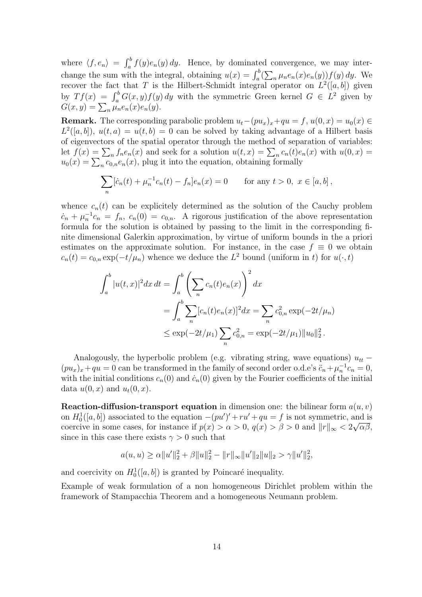where  $\langle f, e_n \rangle = \int_a^b f(y)e_n(y) dy$ . Hence, by dominated convergence, we may interchange the sum with the integral, obtaining  $u(x) = \int_a^b (\sum_n \mu_n e_n(x) e_n(y)) f(y) dy$ . We recover the fact that T is the Hilbert-Schmidt integral operator on  $L^2([a, b])$  given by  $Tf(x) = \int_a^b G(x, y) f(y) dy$  with the symmetric Green kernel  $G \in L^2$  given by  $G(x, y) = \sum_{n} \mu_n e_n(x) e_n(y).$ 

**Remark.** The corresponding parabolic problem  $u_t-(pu_x)_x+qu = f$ ,  $u(0, x) = u_0(x) \in$  $L^2([a, b]), u(t, a) = u(t, b) = 0$  can be solved by taking advantage of a Hilbert basis of eigenvectors of the spatial operator through the method of separation of variables: let  $f(x) = \sum_n f_n e_n(x)$  and seek for a solution  $u(t, x) = \sum_n c_n(t) e_n(x)$  with  $u(0, x) =$  $u_0(x) = \sum_n c_{0,n} e_n(x)$ , plug it into the equation, obtaining formally

$$
\sum_{n} [\dot{c}_n(t) + \mu_n^{-1} c_n(t) - f_n] e_n(x) = 0 \quad \text{for any } t > 0, \ x \in [a, b],
$$

whence  $c_n(t)$  can be explicitely determined as the solution of the Cauchy problem  $c_n + \mu_n^{-1}c_n = f_n$ ,  $c_n(0) = c_{0,n}$ . A rigorous justification of the above representation formula for the solution is obtained by passing to the limit in the corresponding finite dimensional Galerkin approximation, by virtue of uniform bounds in the a priori estimates on the approximate solution. For instance, in the case  $f \equiv 0$  we obtain  $c_n(t) = c_{0,n} \exp(-t/\mu_n)$  whence we deduce the  $L^2$  bound (uniform in t) for  $u(\cdot, t)$ 

$$
\int_{a}^{b} |u(t,x)|^{2} dx dt = \int_{a}^{b} \left( \sum_{n} c_{n}(t) e_{n}(x) \right)^{2} dx
$$
  
= 
$$
\int_{a}^{b} \sum_{n} [c_{n}(t) e_{n}(x)]^{2} dx = \sum_{n} c_{0,n}^{2} \exp(-2t/\mu_{n})
$$
  

$$
\leq \exp(-2t/\mu_{1}) \sum_{n} c_{0,n}^{2} = \exp(-2t/\mu_{1}) ||u_{0}||_{2}^{2}.
$$

Analogously, the hyperbolic problem (e.g. vibrating string, wave equations)  $u_{tt}$  −  $(pu_x)_x + qu = 0$  can be transformed in the family of second order o.d.e's  $\ddot{c}_n + \mu_n^{-1}c_n = 0$ , with the initial conditions  $c_n(0)$  and  $\dot{c}_n(0)$  given by the Fourier coefficients of the initial data  $u(0, x)$  and  $u_t(0, x)$ .

**Reaction-diffusion-transport equation** in dimension one: the bilinear form  $a(u, v)$ on  $H_0^1([a, b])$  associated to the equation  $-(pu')' + ru' + qu = f$  is not symmetric, and is coercive in some cases, for instance if  $p(x) > \alpha > 0$ ,  $q(x) > \beta > 0$  and  $||r||_{\infty} < 2\sqrt{\alpha\beta}$ , since in this case there exists  $\gamma > 0$  such that

$$
a(u, u) \ge \alpha ||u'||_2^2 + \beta ||u||_2^2 - ||r||_{\infty} ||u'||_2 ||u||_2 > \gamma ||u'||_2^2,
$$

and coercivity on  $H_0^1([a, b])$  is granted by Poincaré inequality.

Example of weak formulation of a non homogeneous Dirichlet problem within the framework of Stampacchia Theorem and a homogeneous Neumann problem.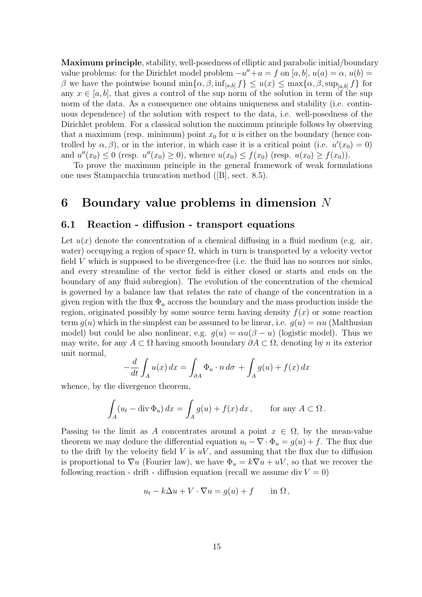Maximum principle, stability, well-posedness of elliptic and parabolic initial/boundary value problems: for the Dirichlet model problem  $-u'' + u = f$  on [a, b],  $u(a) = \alpha$ ,  $u(b) =$ β we have the pointwise bound  $\min\{\alpha, \beta, \inf_{[a,b]} f\} \leq u(x) \leq \max\{\alpha, \beta, \sup_{[a,b]} f\}$  for any  $x \in [a, b]$ , that gives a control of the sup norm of the solution in term of the sup norm of the data. As a consequence one obtains uniqueness and stability (i.e. continuous dependence) of the solution with respect to the data, i.e. well-posedness of the Dirichlet problem. For a classical solution the maximum principle follows by observing that a maximum (resp. minimum) point  $x_0$  for u is either on the boundary (hence controlled by  $\alpha, \beta$ , or in the interior, in which case it is a critical point (i.e.  $u'(x_0) = 0$ ) and  $u''(x_0) \le 0$  (resp.  $u''(x_0) \ge 0$ ), whence  $u(x_0) \le f(x_0)$  (resp.  $u(x_0) \ge f(x_0)$ ).

To prove the maximum principle in the general framework of weak formulations one uses Stampacchia truncation method ([B], sect. 8.5).

# 6 Boundary value problems in dimension N

### 6.1 Reaction - diffusion - transport equations

Let  $u(x)$  denote the concentration of a chemical diffusing in a fluid medium (e.g. air, water) occupying a region of space  $\Omega$ , which in turn is transported by a velocity vector field V which is supposed to be divergence-free (i.e. the fluid has no sources nor sinks, and every streamline of the vector field is either closed or starts and ends on the boundary of any fluid subregion). The evolution of the concentration of the chemical is governed by a balance law that relates the rate of change of the concentration in a given region with the flux  $\Phi_u$  accross the boundary and the mass production inside the region, originated possibly by some source term having density  $f(x)$  or some reaction term  $q(u)$  which in the simplest can be assumed to be linear, i.e.  $q(u) = \alpha u$  (Malthusian model) but could be also nonlinear, e.g.  $g(u) = \alpha u(\beta - u)$  (logistic model). Thus we may write, for any  $A \subset \Omega$  having smooth boundary  $\partial A \subset \Omega$ , denoting by n its exterior unit normal,

$$
-\frac{d}{dt} \int_A u(x) dx = \int_{\partial A} \Phi_u \cdot n d\sigma + \int_A g(u) + f(x) dx
$$

whence, by the divergence theorem,

$$
\int_A (u_t - \operatorname{div} \Phi_u) \, dx = \int_A g(u) + f(x) \, dx \,, \qquad \text{for any } A \subset \Omega \,.
$$

Passing to the limit as A concentrates around a point  $x \in \Omega$ , by the mean-value theorem we may deduce the differential equation  $u_t - \nabla \cdot \Phi_u = g(u) + f$ . The flux due to the drift by the velocity field  $V$  is  $uV$ , and assuming that the flux due to diffusion is proportional to  $\nabla u$  (Fourier law), we have  $\Phi_u = k \nabla u + uV$ , so that we recover the following reaction - drift - diffusion equation (recall we assume div  $V = 0$ )

$$
u_t - k\Delta u + V \cdot \nabla u = g(u) + f \quad \text{in } \Omega ,
$$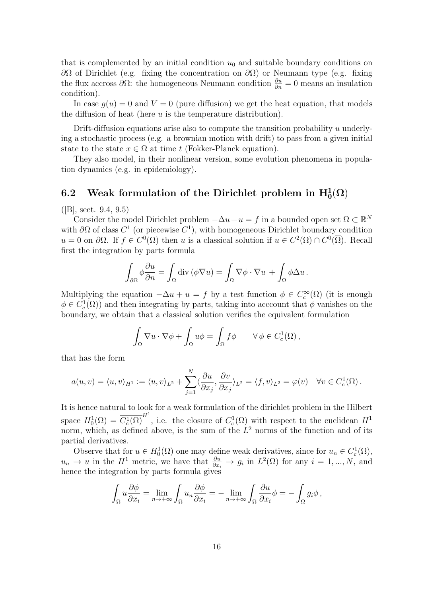that is complemented by an initial condition  $u_0$  and suitable boundary conditions on  $\partial\Omega$  of Dirichlet (e.g. fixing the concentration on  $\partial\Omega$ ) or Neumann type (e.g. fixing the flux accross  $\partial\Omega$ : the homogeneous Neumann condition  $\frac{\partial u}{\partial n} = 0$  means an insulation condition).

In case  $g(u) = 0$  and  $V = 0$  (pure diffusion) we get the heat equation, that models the diffusion of heat (here  $u$  is the temperature distribution).

Drift-diffusion equations arise also to compute the transition probability  $u$  underlying a stochastic process (e.g. a brownian motion with drift) to pass from a given initial state to the state  $x \in \Omega$  at time t (Fokker-Planck equation).

They also model, in their nonlinear version, some evolution phenomena in population dynamics (e.g. in epidemiology).

# 6.2 Weak formulation of the Dirichlet problem in  $\mathrm{H}_0^1(\Omega)$

 $([B], \text{sect. } 9.4, 9.5)$ 

Consider the model Dirichlet problem  $-\Delta u + u = f$  in a bounded open set  $\Omega \subset \mathbb{R}^N$ with  $\partial\Omega$  of class  $C^1$  (or piecewise  $C^1$ ), with homogeneous Dirichlet boundary condition  $u = 0$  on  $\partial\Omega$ . If  $f \in C^{0}(\Omega)$  then u is a classical solution if  $u \in C^{2}(\Omega) \cap C^{0}(\overline{\Omega})$ . Recall first the integration by parts formula

$$
\int_{\partial\Omega} \phi \frac{\partial u}{\partial n} = \int_{\Omega} \operatorname{div} (\phi \nabla u) = \int_{\Omega} \nabla \phi \cdot \nabla u + \int_{\Omega} \phi \Delta u.
$$

Multiplying the equation  $-\Delta u + u = f$  by a test function  $\phi \in C_c^{\infty}(\Omega)$  (it is enough  $\phi \in C_c^1(\Omega)$  and then integrating by parts, taking into acccount that  $\phi$  vanishes on the boundary, we obtain that a classical solution verifies the equivalent formulation

$$
\int_{\Omega} \nabla u \cdot \nabla \phi + \int_{\Omega} u \phi = \int_{\Omega} f \phi \qquad \forall \phi \in C_c^1(\Omega),
$$

that has the form

$$
a(u,v) = \langle u,v \rangle_{H^1} := \langle u,v \rangle_{L^2} + \sum_{j=1}^N \langle \frac{\partial u}{\partial x_j}, \frac{\partial v}{\partial x_j} \rangle_{L^2} = \langle f,v \rangle_{L^2} = \varphi(v) \quad \forall v \in C_c^1(\Omega).
$$

It is hence natural to look for a weak formulation of the dirichlet problem in the Hilbert space  $H_0^1(\Omega) = \overline{C_c^1(\Omega)}^{H^1}$ , i.e. the closure of  $C_c^1(\Omega)$  with respect to the euclidean  $H^1$ norm, which, as defined above, is the sum of the  $L^2$  norms of the function and of its partial derivatives.

Observe that for  $u \in H_0^1(\Omega)$  one may define weak derivatives, since for  $u_n \in C_c^1(\Omega)$ ,  $u_n \to u$  in the  $H^1$  metric, we have that  $\frac{\partial u}{\partial x_i} \to g_i$  in  $L^2(\Omega)$  for any  $i = 1, ..., N$ , and hence the integration by parts formula gives

$$
\int_{\Omega} u \frac{\partial \phi}{\partial x_i} = \lim_{n \to +\infty} \int_{\Omega} u_n \frac{\partial \phi}{\partial x_i} = -\lim_{n \to +\infty} \int_{\Omega} \frac{\partial u}{\partial x_i} \phi = -\int_{\Omega} g_i \phi,
$$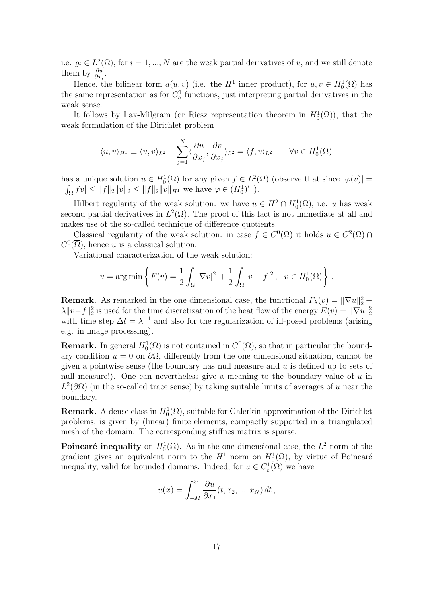i.e.  $g_i \in L^2(\Omega)$ , for  $i = 1, ..., N$  are the weak partial derivatives of u, and we still denote them by  $\frac{\partial u}{\partial x}$ .

Hence, the bilinear form  $a(u, v)$  (i.e. the  $H^1$  inner product), for  $u, v \in H_0^1(\Omega)$  has the same representation as for  $C_c^1$  functions, just interpreting partial derivatives in the weak sense.

It follows by Lax-Milgram (or Riesz representation theorem in  $H_0^1(\Omega)$ ), that the weak formulation of the Dirichlet problem

$$
\langle u, v \rangle_{H^1} \equiv \langle u, v \rangle_{L^2} + \sum_{j=1}^N \langle \frac{\partial u}{\partial x_j}, \frac{\partial v}{\partial x_j} \rangle_{L^2} = \langle f, v \rangle_{L^2} \quad \forall v \in H_0^1(\Omega)
$$

has a unique solution  $u \in H_0^1(\Omega)$  for any given  $f \in L^2(\Omega)$  (observe that since  $|\varphi(v)| =$  $|\int_{\Omega} f v| \leq ||f||_2 ||v||_2 \leq ||f||_2 ||v||_{H^1}$  we have  $\varphi \in (H_0^1)'$ .

Hilbert regularity of the weak solution: we have  $u \in H^2 \cap H_0^1(\Omega)$ , i.e. u has weak second partial derivatives in  $L^2(\Omega)$ . The proof of this fact is not immediate at all and makes use of the so-called technique of difference quotients.

Classical regularity of the weak solution: in case  $f \in C^{0}(\Omega)$  it holds  $u \in C^{2}(\Omega)$  $C^0(\overline{\Omega})$ , hence u is a classical solution.

Variational characterization of the weak solution:

$$
u = \arg \min \left\{ F(v) = \frac{1}{2} \int_{\Omega} |\nabla v|^2 + \frac{1}{2} \int_{\Omega} |v - f|^2, \ v \in H_0^1(\Omega) \right\}.
$$

**Remark.** As remarked in the one dimensional case, the functional  $F_{\lambda}(v) = \|\nabla u\|_2^2 +$  $\lambda \|v-f\|_2^2$  is used for the time discretization of the heat flow of the energy  $E(v) = \|\nabla u\|_2^2$ with time step  $\Delta t = \lambda^{-1}$  and also for the regularization of ill-posed problems (arising e.g. in image processing).

**Remark.** In general  $H_0^1(\Omega)$  is not contained in  $C^0(\Omega)$ , so that in particular the boundary condition  $u = 0$  on  $\partial\Omega$ , differently from the one dimensional situation, cannot be given a pointwise sense (the boundary has null measure and  $u$  is defined up to sets of null measure!). One can nevertheless give a meaning to the boundary value of  $u$  in  $L^2(\partial\Omega)$  (in the so-called trace sense) by taking suitable limits of averages of u near the boundary.

**Remark.** A dense class in  $H_0^1(\Omega)$ , suitable for Galerkin approximation of the Dirichlet problems, is given by (linear) finite elements, compactly supported in a triangulated mesh of the domain. The corresponding stiffnes matrix is sparse.

**Poincaré inequality** on  $H_0^1(\Omega)$ . As in the one dimensional case, the  $L^2$  norm of the gradient gives an equivalent norm to the  $H^1$  norm on  $H_0^1(\Omega)$ , by virtue of Poincaré inequality, valid for bounded domains. Indeed, for  $u \in C_c^1(\Omega)$  we have

$$
u(x) = \int_{-M}^{x_1} \frac{\partial u}{\partial x_1}(t, x_2, ..., x_N) dt,
$$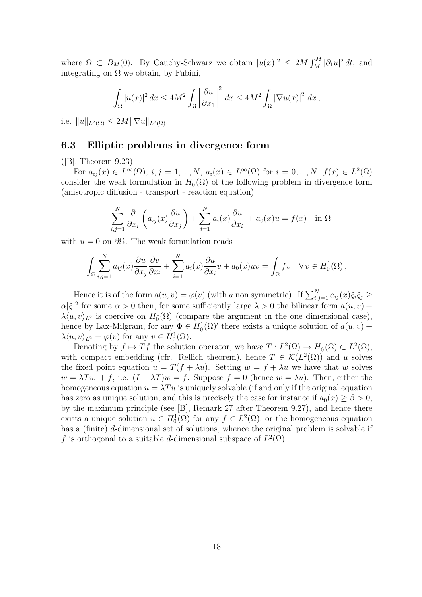where  $\Omega \subset B_M(0)$ . By Cauchy-Schwarz we obtain  $|u(x)|^2 \leq 2M \int_M^M |\partial_1 u|^2 dt$ , and integrating on  $\Omega$  we obtain, by Fubini,

$$
\int_{\Omega} |u(x)|^2 dx \le 4M^2 \int_{\Omega} \left| \frac{\partial u}{\partial x_1} \right|^2 dx \le 4M^2 \int_{\Omega} |\nabla u(x)|^2 dx,
$$

i.e.  $||u||_{L^2(\Omega)} \leq 2M||\nabla u||_{L^2(\Omega)}$ .

### 6.3 Elliptic problems in divergence form

 $([B],$  Theorem 9.23)

For  $a_{ij}(x) \in L^{\infty}(\Omega)$ ,  $i, j = 1, ..., N$ ,  $a_i(x) \in L^{\infty}(\Omega)$  for  $i = 0, ..., N$ ,  $f(x) \in L^2(\Omega)$ consider the weak formulation in  $H_0^1(\Omega)$  of the following problem in divergence form (anisotropic diffusion - transport - reaction equation)

$$
-\sum_{i,j=1}^N \frac{\partial}{\partial x_i} \left( a_{ij}(x) \frac{\partial u}{\partial x_j} \right) + \sum_{i=1}^N a_i(x) \frac{\partial u}{\partial x_i} + a_0(x)u = f(x) \text{ in } \Omega
$$

with  $u = 0$  on  $\partial\Omega$ . The weak formulation reads

$$
\int_{\Omega} \sum_{i,j=1}^{N} a_{ij}(x) \frac{\partial u}{\partial x_j} \frac{\partial v}{\partial x_i} + \sum_{i=1}^{N} a_i(x) \frac{\partial u}{\partial x_i} v + a_0(x) u v = \int_{\Omega} f v \quad \forall v \in H_0^1(\Omega),
$$

Hence it is of the form  $a(u, v) = \varphi(v)$  (with a non symmetric). If  $\sum_{i,j=1}^{N} a_{ij}(x)\xi_i\xi_j \geq$  $\alpha|\xi|^2$  for some  $\alpha > 0$  then, for some sufficiently large  $\lambda > 0$  the bilinear form  $a(u, v)$  +  $\lambda \langle u, v \rangle_{L^2}$  is coercive on  $H_0^1(\Omega)$  (compare the argument in the one dimensional case), hence by Lax-Milgram, for any  $\Phi \in H_0^1(\Omega)'$  there exists a unique solution of  $a(u, v)$  +  $\lambda \langle u, v \rangle_{L^2} = \varphi(v)$  for any  $v \in H_0^1(\Omega)$ .

Denoting by  $f \mapsto Tf$  the solution operator, we have  $T: L^2(\Omega) \to H_0^1(\Omega) \subset L^2(\Omega)$ , with compact embedding (cfr. Rellich theorem), hence  $T \in \mathcal{K}(L^2(\Omega))$  and u solves the fixed point equation  $u = T(f + \lambda u)$ . Setting  $w = f + \lambda u$  we have that w solves  $w = \lambda Tw + f$ , i.e.  $(I - \lambda T)w = f$ . Suppose  $f = 0$  (hence  $w = \lambda u$ ). Then, either the homogeneous equation  $u = \lambda T u$  is uniquely solvable (if and only if the original equation has zero as unique solution, and this is precisely the case for instance if  $a_0(x) \ge \beta > 0$ , by the maximum principle (see [B], Remark 27 after Theorem 9.27), and hence there exists a unique solution  $u \in H_0^1(\Omega)$  for any  $f \in L^2(\Omega)$ , or the homogeneous equation has a (finite) d-dimensional set of solutions, whence the original problem is solvable if f is orthogonal to a suitable d-dimensional subspace of  $L^2(\Omega)$ .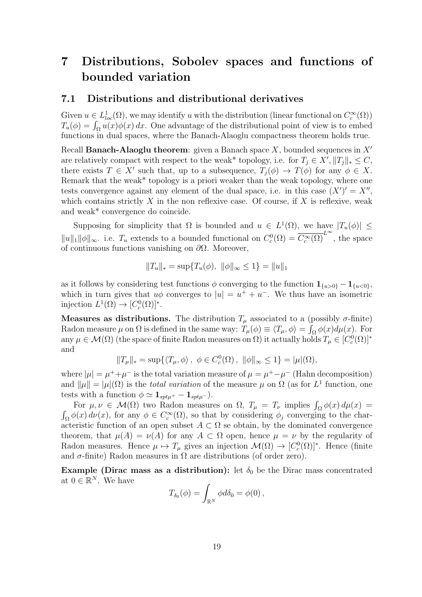# 7 Distributions, Sobolev spaces and functions of bounded variation

#### 7.1 Distributions and distributional derivatives

Given  $u \in L^1_{loc}(\Omega)$ , we may identify u with the distribution (linear functional on  $C_c^{\infty}(\Omega)$ )  $T_u(\phi) = \int_{\Omega} u(x) \phi(x) dx$ . One advantage of the distributional point of view is to embed functions in dual spaces, where the Banach-Alaoglu compactness theorem holds true.

Recall **Banach-Alaoglu theorem**: given a Banach space X, bounded sequences in  $X'$ are relatively compact with respect to the weak\* topology, i.e. for  $T_j \in X', ||T_j||_* \leq C$ , there exists  $T \in X'$  such that, up to a subsequence,  $T_j(\phi) \to T(\phi)$  for any  $\phi \in X$ . Remark that the weak\* topology is a priori weaker than the weak topology, where one tests convergence against any element of the dual space, i.e. in this case  $(X')' = X''$ , which contains strictly  $X$  in the non reflexive case. Of course, if  $X$  is reflexive, weak and weak\* convergence do coincide.

Supposing for simplicity that  $\Omega$  is bounded and  $u \in L^1(\Omega)$ , we have  $|T_u(\phi)| \leq$  $||u||_1 ||\phi||_{\infty}$ . i.e.  $T_u$  extends to a bounded functional on  $C_c^0(\Omega) = \overline{C_c^{\infty}(\Omega)}^{L^{\infty}}$ , the space of continuous functions vanishing on  $\partial\Omega$ . Moreover,

$$
||T_u||_* = \sup \{ T_u(\phi), ||\phi||_{\infty} \le 1 \} = ||u||_1
$$

as it follows by considering test functions  $\phi$  converging to the function  $\mathbf{1}_{\{u>0\}} - \mathbf{1}_{\{u<0\}},$ which in turn gives that  $u\phi$  converges to  $|u| = u^+ + u^-$ . We thus have an isometric injection  $L^1(\Omega) \to [C_c^0(\Omega)]^*$ .

**Measures as distributions.** The distribution  $T_\mu$  associated to a (possibly  $\sigma$ -finite) Radon measure  $\mu$  on  $\Omega$  is defined in the same way:  $T_{\mu}(\phi) \equiv \langle T_{\mu}, \phi \rangle = \int_{\Omega} \phi(x) d\mu(x)$ . For any  $\mu \in \mathcal{M}(\Omega)$  (the space of finite Radon measures on  $\Omega$ ) it actually holds  $T_{\mu} \in [C_c^0(\Omega)]^*$ and

$$
||T_{\mu}||_* = \sup \{ \langle T_{\mu}, \phi \rangle, \ \phi \in C_c^0(\Omega), \ ||\phi||_{\infty} \le 1 \} = |\mu|(\Omega),
$$

where  $|\mu| = \mu^+ + \mu^-$  is the total variation measure of  $\mu = \mu^+ - \mu^-$  (Hahn decomposition) and  $\|\mu\| = |\mu|(\Omega)$  is the *total variation* of the measure  $\mu$  on  $\Omega$  (as for  $L^1$  function, one tests with a function  $\phi \simeq \mathbf{1}_{spt\mu^{+}} - \mathbf{1}_{spt\mu^{-}}).$ 

For  $\mu, \nu \in \mathcal{M}(\Omega)$  two Radon measures on  $\Omega$ ,  $T_{\mu} = T_{\nu}$  implies  $\int_{\Omega} \phi(x) d\mu(x) =$  $\int_{\Omega} \phi(x) d\nu(x)$ , for any  $\phi \in C_c^{\infty}(\Omega)$ , so that by considering  $\phi_j$  converging to the characteristic function of an open subset  $A \subset \Omega$  se obtain, by the dominated convergence theorem, that  $\mu(A) = \nu(A)$  for any  $A \subset \Omega$  open, hence  $\mu = \nu$  by the regularity of Radon measures. Hence  $\mu \mapsto T_{\mu}$  gives an injection  $\mathcal{M}(\Omega) \to [C_c^0(\Omega)]^*$ . Hence (finite and  $\sigma$ -finite) Radon measures in  $\Omega$  are distributions (of order zero).

Example (Dirac mass as a distribution): let  $\delta_0$  be the Dirac mass concentrated at  $0 \in \mathbb{R}^N$ . We have

$$
T_{\delta_0}(\phi) = \int_{\mathbb{R}^N} \phi d\delta_0 = \phi(0),
$$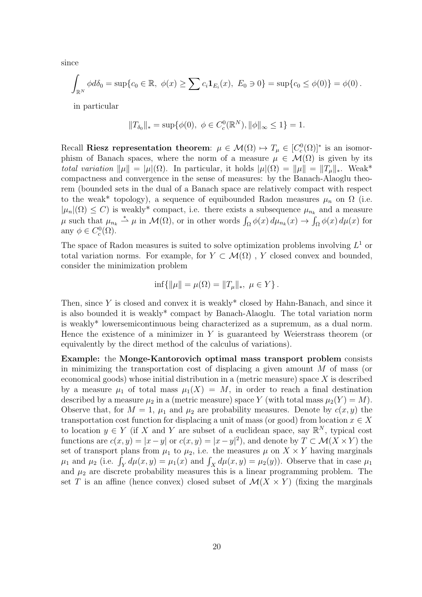since

$$
\int_{\mathbb{R}^N} \phi d\delta_0 = \sup \{c_0 \in \mathbb{R}, \ \phi(x) \ge \sum c_i \mathbf{1}_{E_i}(x), \ E_0 \ni 0\} = \sup \{c_0 \le \phi(0)\} = \phi(0).
$$

in particular

$$
||T_{\delta_0}||_* = \sup \{ \phi(0), \ \phi \in C_c^0(\mathbb{R}^N), ||\phi||_{\infty} \le 1 \} = 1.
$$

Recall Riesz representation theorem:  $\mu \in \mathcal{M}(\Omega) \mapsto T_{\mu} \in [C_c^0(\Omega)]^*$  is an isomorphism of Banach spaces, where the norm of a measure  $\mu \in \mathcal{M}(\Omega)$  is given by its total variation  $\|\mu\| = |\mu|(\Omega)$ . In particular, it holds  $|\mu|(\Omega) = \|\mu\| = \|T_{\mu}\|_*$ . Weak\* compactness and convergence in the sense of measures: by the Banach-Alaoglu theorem (bounded sets in the dual of a Banach space are relatively compact with respect to the weak\* topology), a sequence of equibounded Radon measures  $\mu_n$  on  $\Omega$  (i.e.  $|\mu_n|(\Omega) \leq C$  is weakly<sup>\*</sup> compact, i.e. there exists a subsequence  $\mu_{n_k}$  and a measure  $\mu$  such that  $\mu_{n_k} \stackrel{*}{\rightharpoonup} \mu$  in  $\mathcal{M}(\Omega)$ , or in other words  $\int_{\Omega} \phi(x) d\mu_{n_k}(x) \to \int_{\Omega} \phi(x) d\mu(x)$  for any  $\phi \in C_c^0(\Omega)$ .

The space of Radon measures is suited to solve optimization problems involving  $L^1$  or total variation norms. For example, for  $Y \subset \mathcal{M}(\Omega)$ , Y closed convex and bounded, consider the minimization problem

$$
\inf\{\|\mu\| = \mu(\Omega) = \|T_{\mu}\|_{*}, \ \mu \in Y\}.
$$

Then, since  $Y$  is closed and convex it is weakly\* closed by Hahn-Banach, and since it is also bounded it is weakly\* compact by Banach-Alaoglu. The total variation norm is weakly\* lowersemicontinuous being characterized as a supremum, as a dual norm. Hence the existence of a minimizer in  $Y$  is guaranteed by Weierstrass theorem (or equivalently by the direct method of the calculus of variations).

Example: the Monge-Kantorovich optimal mass transport problem consists in minimizing the transportation cost of displacing a given amount  $M$  of mass (or economical goods) whose initial distribution in a (metric measure) space  $X$  is described by a measure  $\mu_1$  of total mass  $\mu_1(X) = M$ , in order to reach a final destination described by a measure  $\mu_2$  in a (metric measure) space Y (with total mass  $\mu_2(Y) = M$ ). Observe that, for  $M = 1$ ,  $\mu_1$  and  $\mu_2$  are probability measures. Denote by  $c(x, y)$  the transportation cost function for displacing a unit of mass (or good) from location  $x \in X$ to location  $y \in Y$  (if X and Y are subset of a euclidean space, say  $\mathbb{R}^N$ , typical cost functions are  $c(x, y) = |x - y|$  or  $c(x, y) = |x - y|^2$ , and denote by  $T \subset \mathcal{M}(X \times Y)$  the set of transport plans from  $\mu_1$  to  $\mu_2$ , i.e. the measures  $\mu$  on  $X \times Y$  having marginals  $\mu_1$  and  $\mu_2$  (i.e.  $\int_Y d\mu(x, y) = \mu_1(x)$  and  $\int_X d\mu(x, y) = \mu_2(y)$ ). Observe that in case  $\mu_1$ and  $\mu_2$  are discrete probability measures this is a linear programming problem. The set T is an affine (hence convex) closed subset of  $\mathcal{M}(X \times Y)$  (fixing the marginals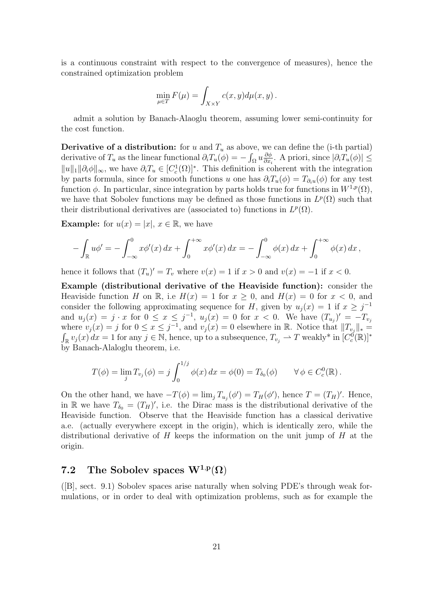is a continuous constraint with respect to the convergence of measures), hence the constrained optimization problem

$$
\min_{\mu \in T} F(\mu) = \int_{X \times Y} c(x, y) d\mu(x, y).
$$

admit a solution by Banach-Alaoglu theorem, assuming lower semi-continuity for the cost function.

**Derivative of a distribution:** for u and  $T_u$  as above, we can define the (i-th partial) derivative of  $T_u$  as the linear functional  $\partial_i T_u(\phi) = -\int_{\Omega} u \frac{\partial \phi}{\partial x_i}$  $\frac{\partial \phi}{\partial x_i}$ . A priori, since  $|\partial_i T_u(\phi)| \leq$  $||u||_1 ||\partial_i \phi||_{\infty}$ , we have  $\partial_i T_u \in [C_c^1(\Omega)]^*$ . This definition is coherent with the integration by parts formula, since for smooth functions u one has  $\partial_i T_u(\phi) = T_{\partial_i u}(\phi)$  for any test function  $\phi$ . In particular, since integration by parts holds true for functions in  $W^{1,p}(\Omega)$ , we have that Sobolev functions may be defined as those functions in  $L^p(\Omega)$  such that their distributional derivatives are (associated to) functions in  $L^p(\Omega)$ .

**Example:** for  $u(x) = |x|, x \in \mathbb{R}$ , we have

$$
- \int_{\mathbb{R}} u \phi' = - \int_{-\infty}^{0} x \phi'(x) dx + \int_{0}^{+\infty} x \phi'(x) dx = - \int_{-\infty}^{0} \phi(x) dx + \int_{0}^{+\infty} \phi(x) dx,
$$

hence it follows that  $(T_u)' = T_v$  where  $v(x) = 1$  if  $x > 0$  and  $v(x) = -1$  if  $x < 0$ .

Example (distributional derivative of the Heaviside function): consider the Heaviside function H on R, i.e  $H(x) = 1$  for  $x \ge 0$ , and  $H(x) = 0$  for  $x < 0$ , and consider the following approximating sequence for H, given by  $u_j(x) = 1$  if  $x \geq j^{-1}$ and  $u_j(x) = j \cdot x$  for  $0 \le x \le j^{-1}$ ,  $u_j(x) = 0$  for  $x < 0$ . We have  $(T_{u_j})' = -T_{v_j}$ where  $v_j(x) = j$  for  $0 \le x \le j^{-1}$ , and  $v_j(x) = 0$  elsewhere in R. Notice that  $||T_{v_j}||_* =$  $\int_{\mathbb{R}} v_j(x) dx = 1$  for any  $j \in \mathbb{N}$ , hence, up to a subsequence,  $T_{v_j} \to T$  weakly\* in  $[C_c^0(\mathbb{R})]^*$ by Banach-Alaloglu theorem, i.e.

$$
T(\phi) = \lim_{j} T_{v_j}(\phi) = j \int_0^{1/j} \phi(x) dx = \phi(0) = T_{\delta_0}(\phi) \qquad \forall \phi \in C_c^0(\mathbb{R}).
$$

On the other hand, we have  $-T(\phi) = \lim_j T_{u_j}(\phi') = T_H(\phi')$ , hence  $T = (T_H)'$ . Hence, in R we have  $T_{\delta_0} = (T_H)'$ , i.e. the Dirac mass is the distributional derivative of the Heaviside function. Observe that the Heaviside function has a classical derivative a.e. (actually everywhere except in the origin), which is identically zero, while the distributional derivative of H keeps the information on the unit jump of H at the origin.

# 7.2 The Sobolev spaces  $\mathrm{W}^{1,p}(\Omega)$

([B], sect. 9.1) Sobolev spaces arise naturally when solving PDE's through weak formulations, or in order to deal with optimization problems, such as for example the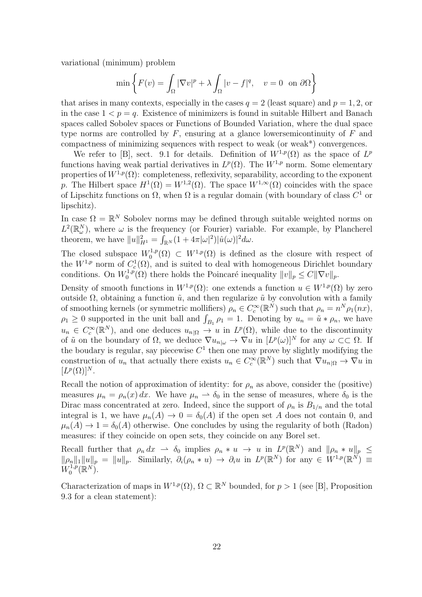variational (minimum) problem

$$
\min\left\{F(v) = \int_{\Omega} |\nabla v|^p + \lambda \int_{\Omega} |v - f|^q, \quad v = 0 \text{ on } \partial\Omega\right\}
$$

that arises in many contexts, especially in the cases  $q = 2$  (least square) and  $p = 1, 2$ , or in the case  $1 < p = q$ . Existence of minimizers is found in suitable Hilbert and Banach spaces called Sobolev spaces or Functions of Bounded Variation, where the dual space type norms are controlled by  $F$ , ensuring at a glance lowersemicontinuity of  $F$  and compactness of minimizing sequences with respect to weak (or weak\*) convergences.

We refer to [B], sect. 9.1 for details. Definition of  $W^{1,p}(\Omega)$  as the space of  $L^p$ functions having weak partial derivatives in  $L^p(\Omega)$ . The  $W^{1,p}$  norm. Some elementary properties of  $W^{1,p}(\Omega)$ : completeness, reflexivity, separability, according to the exponent p. The Hilbert space  $H^1(\Omega) = W^{1,2}(\Omega)$ . The space  $W^{1,\infty}(\Omega)$  coincides with the space of Lipschitz functions on  $\Omega$ , when  $\Omega$  is a regular domain (with boundary of class  $C^1$  or lipschitz).

In case  $\Omega = \mathbb{R}^N$  Sobolev norms may be defined through suitable weighted norms on  $L^2(\mathbb{R}^N_\omega)$ , where  $\omega$  is the frequency (or Fourier) variable. For example, by Plancherel theorem, we have  $||u||_{H^1}^2 = \int_{\mathbb{R}^N} (1 + 4\pi |\omega|^2) |\hat{u}(\omega)|^2 d\omega$ .

The closed subspace  $W_0^{1,p}$  $\mathcal{O}_0^{1,p}(\Omega) \subset W^{1,p}(\Omega)$  is defined as the closure with respect of the  $W^{1,p}$  norm of  $C_c^1(\Omega)$ , and is suited to deal with homogeneous Dirichlet boundary conditions. On  $W_0^{1,p}$ <sup> $\chi^{1,p}_{0}(\Omega)$ </sup> there holds the Poincaré inequality  $||v||_p \leq C||\nabla v||_p$ .

Density of smooth functions in  $W^{1,p}(\Omega)$ : one extends a function  $u \in W^{1,p}(\Omega)$  by zero outside Ω, obtaining a function  $\tilde{u}$ , and then regularize  $\tilde{u}$  by convolution with a family of smoothing kernels (or symmetric mollifiers)  $\rho_n \in C_c^{\infty}(\mathbb{R}^N)$  such that  $\rho_n = n^N \rho_1(nx)$ ,  $\rho_1 \geq 0$  supported in the unit ball and  $\int_{B_1} \rho_1 = 1$ . Denoting by  $u_n = \tilde{u} * \rho_n$ , we have  $u_n \in C_c^{\infty}(\mathbb{R}^N)$ , and one deduces  $u_{n|\Omega} \to u$  in  $L^p(\Omega)$ , while due to the discontinuity of  $\tilde{u}$  on the boundary of  $\Omega$ , we deduce  $\nabla u_{n|\omega} \to \nabla u$  in  $[L^p(\omega)]^N$  for any  $\omega \subset\subset \Omega$ . If the boudary is regular, say piecewise  $C<sup>1</sup>$  then one may prove by slightly modifying the construction of  $u_n$  that actually there exists  $u_n \in C_c^{\infty}(\mathbb{R}^N)$  such that  $\nabla u_{n|\Omega} \to \nabla u$  in  $[L^p(\Omega)]^N$ .

Recall the notion of approximation of identity: for  $\rho_n$  as above, consider the (positive) measures  $\mu_n = \rho_n(x) dx$ . We have  $\mu_n \to \delta_0$  in the sense of measures, where  $\delta_0$  is the Dirac mass concentrated at zero. Indeed, since the support of  $\rho_n$  is  $B_{1/n}$  and the total integral is 1, we have  $\mu_n(A) \to 0 = \delta_0(A)$  if the open set A does not contain 0, and  $\mu_n(A) \to 1 = \delta_0(A)$  otherwise. One concludes by using the regularity of both (Radon) measures: if they coincide on open sets, they coincide on any Borel set.

Recall further that  $\rho_n dx \to \delta_0$  implies  $\rho_n * u \to u$  in  $L^p(\mathbb{R}^N)$  and  $\|\rho_n * u\|_p \leq$  $\|\rho_n\|_1 \|u\|_p = \|u\|_p$ . Similarly,  $\partial_i(\rho_n * u) \to \partial_i u$  in  $L^p(\mathbb{R}^N)$  for any  $\in W^{1,p}(\mathbb{R}^N) \equiv$  $W_0^{1,p}$  $_{0}^{(1,p}(\mathbb{R}^{N}).$ 

Characterization of maps in  $W^{1,p}(\Omega)$ ,  $\Omega \subset \mathbb{R}^N$  bounded, for  $p > 1$  (see [B], Proposition 9.3 for a clean statement):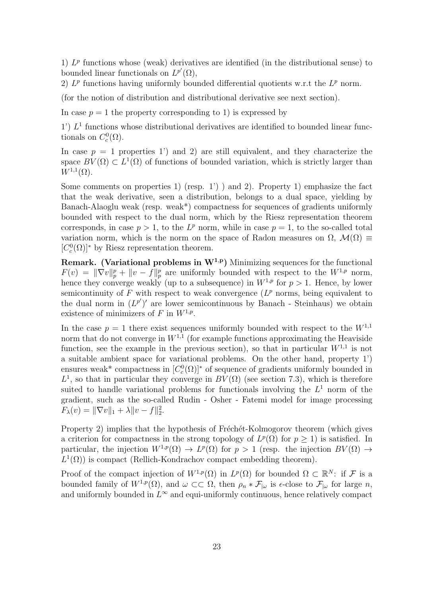1)  $L^p$  functions whose (weak) derivatives are identified (in the distributional sense) to bounded linear functionals on  $L^{p'}(\Omega)$ ,

2)  $L^p$  functions having uniformly bounded differential quotients w.r.t the  $L^p$  norm.

(for the notion of distribution and distributional derivative see next section).

In case  $p = 1$  the property corresponding to 1) is expressed by

 $1'$ )  $L<sup>1</sup>$  functions whose distributional derivatives are identified to bounded linear functionals on  $C_c^0(\Omega)$ .

In case  $p = 1$  properties 1') and 2) are still equivalent, and they characterize the space  $BV(\Omega) \subset L^1(\Omega)$  of functions of bounded variation, which is strictly larger than  $W^{1,1}(\Omega)$ .

Some comments on properties 1) (resp.  $1'$ ) and 2). Property 1) emphasize the fact that the weak derivative, seen a distribution, belongs to a dual space, yielding by Banach-Alaoglu weak (resp. weak\*) compactness for sequences of gradients uniformly bounded with respect to the dual norm, which by the Riesz representation theorem corresponds, in case  $p > 1$ , to the  $L^p$  norm, while in case  $p = 1$ , to the so-called total variation norm, which is the norm on the space of Radon measures on  $\Omega$ ,  $\mathcal{M}(\Omega) \equiv$  $[C_c^0(\Omega)]^*$  by Riesz representation theorem.

**Remark.** (Variational problems in  $W^{1,p}$ ) Minimizing sequences for the functional  $F(v) = \|\nabla v\|_p^p + \|v - f\|_p^p$  are uniformly bounded with respect to the  $W^{1,p}$  norm, hence they converge weakly (up to a subsequence) in  $W^{1,p}$  for  $p > 1$ . Hence, by lower semicontinuity of  $F$  with respect to weak convergence  $(L^p$  norms, being equivalent to the dual norm in  $(L^{p'})'$  are lower semicontinuous by Banach - Steinhaus) we obtain existence of minimizers of F in  $W^{1,p}$ .

In the case  $p = 1$  there exist sequences uniformly bounded with respect to the  $W^{1,1}$ norm that do not converge in  $W^{1,1}$  (for example functions approximating the Heaviside function, see the example in the previous section), so that in particular  $W^{1,1}$  is not a suitable ambient space for variational problems. On the other hand, property 1') ensures weak<sup>\*</sup> compactness in  $[C_c^0(\Omega)]^*$  of sequence of gradients uniformly bounded in  $L^1$ , so that in particular they converge in  $BV(\Omega)$  (see section 7.3), which is therefore suited to handle variational problems for functionals involving the  $L<sup>1</sup>$  norm of the gradient, such as the so-called Rudin - Osher - Fatemi model for image processing  $F_{\lambda}(v) = \|\nabla v\|_1 + \lambda \|v - f\|_2^2.$ 

Property 2) implies that the hypothesis of Fréchét-Kolmogorov theorem (which gives a criterion for compactness in the strong topology of  $L^p(\Omega)$  for  $p \geq 1$ ) is satisfied. In particular, the injection  $W^{1,p}(\Omega) \to L^p(\Omega)$  for  $p > 1$  (resp. the injection  $BV(\Omega) \to$  $L^1(\Omega)$ ) is compact (Rellich-Kondrachov compact embedding theorem).

Proof of the compact injection of  $W^{1,p}(\Omega)$  in  $L^p(\Omega)$  for bounded  $\Omega \subset \mathbb{R}^N$ : if F is a bounded family of  $W^{1,p}(\Omega)$ , and  $\omega \subset\subset \Omega$ , then  $\rho_n * \mathcal{F}_{|\omega}$  is  $\epsilon$ -close to  $\mathcal{F}_{|\omega}$  for large n, and uniformly bounded in  $L^{\infty}$  and equi-uniformly continuous, hence relatively compact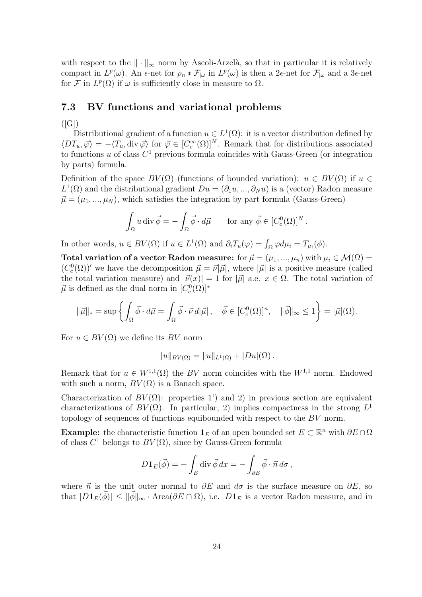with respect to the  $\|\cdot\|_{\infty}$  norm by Ascoli-Arzelà, so that in particular it is relatively compact in  $L^p(\omega)$ . An  $\epsilon$ -net for  $\rho_n * \mathcal{F}_{|\omega}$  in  $L^p(\omega)$  is then a 2 $\epsilon$ -net for  $\mathcal{F}_{|\omega}$  and a 3 $\epsilon$ -net for F in  $L^p(\Omega)$  if  $\omega$  is sufficiently close in measure to  $\Omega$ .

### 7.3 BV functions and variational problems

 $([G])$ 

Distributional gradient of a function  $u \in L^1(\Omega)$ : it is a vector distribution defined by  $\langle DT_u, \vec{\varphi} \rangle = -\langle T_u, \text{div } \vec{\varphi} \rangle$  for  $\vec{\varphi} \in [C_c^{\infty}(\Omega)]^N$ . Remark that for distributions associated to functions u of class  $C<sup>1</sup>$  previous formula coincides with Gauss-Green (or integration by parts) formula.

Definition of the space  $BV(\Omega)$  (functions of bounded variation):  $u \in BV(\Omega)$  if  $u \in$  $L^1(\Omega)$  and the distributional gradient  $Du = (\partial_1 u, ..., \partial_N u)$  is a (vector) Radon measure  $\vec{\mu} = (\mu_1, ..., \mu_N)$ , which satisfies the integration by part formula (Gauss-Green)

$$
\int_{\Omega} u \operatorname{div} \vec{\phi} = -\int_{\Omega} \vec{\phi} \cdot d\vec{\mu} \quad \text{for any } \vec{\phi} \in [C_c^0(\Omega)]^N.
$$

In other words,  $u \in BV(\Omega)$  if  $u \in L^1(\Omega)$  and  $\partial_i T_u(\varphi) = \int_{\Omega} \varphi d\mu_i = T_{\mu_i}(\phi)$ .

Total variation of a vector Radon measure: for  $\vec{\mu} = (\mu_1, ..., \mu_n)$  with  $\mu_i \in \mathcal{M}(\Omega) =$  $(C_c^0(\Omega))'$  we have the decomposition  $\vec{\mu} = \vec{\nu}|\vec{\mu}|$ , where  $|\vec{\mu}|$  is a positive measure (called the total variation measure) and  $|\vec{v}(x)| = 1$  for  $|\vec{\mu}|$  a.e.  $x \in \Omega$ . The total variation of  $\vec{\mu}$  is defined as the dual norm in  $[C_c^0(\Omega)]^*$ 

$$
\|\vec{\mu}\|_{*} = \sup \left\{ \int_{\Omega} \vec{\phi} \cdot d\vec{\mu} = \int_{\Omega} \vec{\phi} \cdot \vec{\nu} d|\vec{\mu}| \, , \quad \vec{\phi} \in [C_{c}^{0}(\Omega)]^{n}, \quad \|\vec{\phi}\|_{\infty} \leq 1 \right\} = |\vec{\mu}|(\Omega).
$$

For  $u \in BV(\Omega)$  we define its BV norm

$$
||u||_{BV(\Omega)} = ||u||_{L^1(\Omega)} + |Du|(\Omega).
$$

Remark that for  $u \in W^{1,1}(\Omega)$  the BV norm coincides with the  $W^{1,1}$  norm. Endowed with such a norm,  $BV(\Omega)$  is a Banach space.

Characterization of  $BV(\Omega)$ : properties 1') and 2) in previous section are equivalent characterizations of  $BV(\Omega)$ . In particular, 2) implies compactness in the strong  $L^1$ topology of sequences of functions equibounded with respect to the BV norm.

**Example:** the characteristic function  $\mathbf{1}_E$  of an open bounded set  $E \subset \mathbb{R}^n$  with  $\partial E \cap \Omega$ of class  $C^1$  belongs to  $BV(\Omega)$ , since by Gauss-Green formula

$$
D\mathbf{1}_E(\vec{\phi}) = -\int_E \operatorname{div} \vec{\phi} \, dx = -\int_{\partial E} \vec{\phi} \cdot \vec{n} \, d\sigma,
$$

where  $\vec{n}$  is the unit outer normal to  $\partial E$  and  $d\sigma$  is the surface measure on  $\partial E$ , so that  $|D1_E(\phi)| \le ||\phi||_{\infty} \cdot \text{Area}(\partial E \cap \Omega)$ , i.e.  $D1_E$  is a vector Radon measure, and in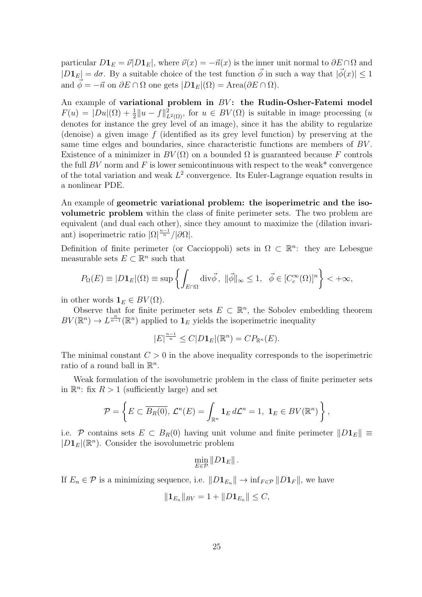particular  $D\mathbf{1}_E = \vec{\nu} | D\mathbf{1}_E|$ , where  $\vec{\nu}(x) = -\vec{n}(x)$  is the inner unit normal to  $\partial E \cap \Omega$  and  $|D1_E| = d\sigma$ . By a suitable choice of the test function  $\vec{\phi}$  in such a way that  $|\vec{\phi}(x)| \leq 1$ and  $\vec{\phi} = -\vec{n}$  on  $\partial E \cap \Omega$  one gets  $|D\mathbf{1}_E|(\Omega) = \text{Area}(\partial E \cap \Omega)$ .

An example of variational problem in  $BV$ : the Rudin-Osher-Fatemi model  $F(u) = |Du|(\Omega) + \frac{1}{2}||u - f||^2_{L^2(\Omega)}$ , for  $u \in BV(\Omega)$  is suitable in image processing  $(u)$ denotes for instance the grey level of an image), since it has the ability to regularize (denoise) a given image  $f$  (identified as its grey level function) by preserving at the same time edges and boundaries, since characteristic functions are members of BV . Existence of a minimizer in  $BV(\Omega)$  on a bounded  $\Omega$  is guaranteed because F controls the full BV norm and F is lower semicontinuous with respect to the weak\* convergence of the total variation and weak  $L^2$  convergence. Its Euler-Lagrange equation results in a nonlinear PDE.

An example of geometric variational problem: the isoperimetric and the isovolumetric problem within the class of finite perimeter sets. The two problem are equivalent (and dual each other), since they amount to maximize the (dilation invariant) isoperimetric ratio  $|\Omega|^{\frac{n-1}{n}}/|\partial\Omega|$ .

Definition of finite perimeter (or Caccioppoli) sets in  $\Omega \subset \mathbb{R}^n$ : they are Lebesgue measurable sets  $E \subset \mathbb{R}^n$  such that

$$
P_{\Omega}(E) \equiv |D\mathbf{1}_E|(\Omega) \equiv \sup \left\{ \int_{E \cap \Omega} \text{div}\vec{\phi}, \ \|\vec{\phi}\|_{\infty} \le 1, \ \ \vec{\phi} \in [C_c^{\infty}(\Omega)]^n \right\} < +\infty,
$$

in other words  $\mathbf{1}_E \in BV(\Omega)$ .

Observe that for finite perimeter sets  $E \subset \mathbb{R}^n$ , the Sobolev embedding theorem  $BV(\mathbb{R}^n) \to L^{\frac{n}{n-1}}(\mathbb{R}^n)$  applied to  $\mathbf{1}_E$  yields the isoperimetric inequality

$$
|E|^{\frac{n-1}{n}} \leq C|D\mathbf{1}_E|(\mathbb{R}^n) = CP_{\mathbb{R}^n}(E).
$$

The minimal constant  $C > 0$  in the above inequality corresponds to the isoperimetric ratio of a round ball in  $\mathbb{R}^n$ .

Weak formulation of the isovolumetric problem in the class of finite perimeter sets in  $\mathbb{R}^n$ : fix  $R > 1$  (sufficiently large) and set

$$
\mathcal{P} = \left\{ E \subset \overline{B_R(0)}, \, \mathcal{L}^n(E) = \int_{\mathbb{R}^n} \mathbf{1}_E \, d\mathcal{L}^n = 1, \, \mathbf{1}_E \in BV(\mathbb{R}^n) \right\},
$$

i.e. P contains sets  $E \subset B_R(0)$  having unit volume and finite perimeter  $||D_1E|| \equiv$  $|D1<sub>E</sub>|(\mathbb{R}<sup>n</sup>)$ . Consider the isovolumetric problem

$$
\min_{E\in\mathcal{P}}\|D\mathbf{1}_E\|.
$$

If  $E_n \in \mathcal{P}$  is a minimizing sequence, i.e.  $||D_1E_n|| \to \inf_{F \in \mathcal{P}} ||D_1F||$ , we have

$$
||\mathbf{1}_{E_n}||_{BV}=1+||D\mathbf{1}_{E_n}||\leq C,
$$